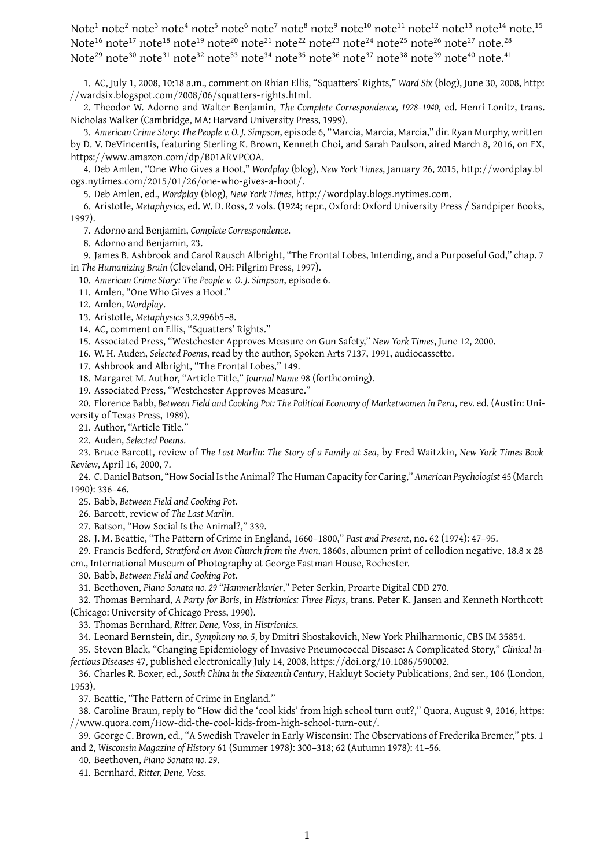Note<sup>1</sup> note<sup>2</sup> note<sup>3</sup> note<sup>4</sup> note<sup>5</sup> note<sup>6</sup> note<sup>7</sup> note<sup>8</sup> note<sup>10</sup> note<sup>11</sup> note<sup>12</sup> note<sup>13</sup> note<sup>14</sup> note.<sup>15</sup> Note<sup>16</sup> note<sup>17</sup> note<sup>18</sup> note<sup>19</sup> note<sup>20</sup> note<sup>21</sup> note<sup>22</sup> note<sup>24</sup> note<sup>25</sup> note<sup>26</sup> note<sup>27</sup> note.<sup>28</sup> Note<sup>29</sup> note<sup>30</sup> note<sup>31</sup> note<sup>32</sup> note<sup>33</sup> note<sup>34</sup> note<sup>35</sup> note<sup>36</sup> note<sup>37</sup> note<sup>38</sup> note<sup>39</sup> note<sup>40</sup> note.<sup>41</sup>

1. AC, July 1, 2008, 10:18 a.m., comment on Rhian Ellis, "Squatters' Rights," *Ward Six* (blog), June 30, 2008, http: //wardsix*.*blogspot*.*com/2008/06/squatters-rights*.*html.

2. Theodor W. Adorno and Walter Benjamin, *The Complete Correspondence, 1928–1940*, ed. Henri Lonitz, trans. Nicholas Walker (Cambridge, MA: Harvard University Press, 1999).

3. *American Crime Story: The People v. O. J. Simpson*, episode 6, "Marcia, Marcia, Marcia," dir. Ryan Murphy, written by D. V. DeVincentis, featuring Sterling K. Brown, Kenneth Choi, and Sarah Paulson, aired March 8, 2016, on FX, https://www*.*amazon*.*com/dp/B01ARVPCOA.

4. Deb Amlen, "One Who Gives a Hoot," *Wordplay* (blog), *New York Times*, January 26, 2015, http://wordplay*.*bl ogs*.*nytimes*.*com/2015/01/26/one-who-gives-a-hoot/.

5. Deb Amlen, ed., *Wordplay* (blog), *New York Times*, http://wordplay*.*blogs*.*nytimes*.*com.

6. Aristotle, *Metaphysics*, ed. W. D. Ross, 2 vols. (1924; repr., Oxford: Oxford University Press / Sandpiper Books, 1997).

7. Adorno and Benjamin, *Complete Correspondence*.

8. Adorno and Benjamin, 23.

9. James B. Ashbrook and Carol Rausch Albright, "The Frontal Lobes, Intending, and a Purposeful God," chap. 7 in *The Humanizing Brain* (Cleveland, OH: Pilgrim Press, 1997).

10. *American Crime Story: The People v. O. J. Simpson*, episode 6.

11. Amlen, "One Who Gives a Hoot."

12. Amlen, *Wordplay*.

13. Aristotle, *Metaphysics* 3.2.996b5–8.

14. AC, comment on Ellis, "Squatters' Rights."

15. Associated Press, "Westchester Approves Measure on Gun Safety," *New York Times*, June 12, 2000.

16. W. H. Auden, *Selected Poems*, read by the author, Spoken Arts 7137, 1991, audiocassette.

17. Ashbrook and Albright, "The Frontal Lobes," 149.

18. Margaret M. Author, "Article Title," *Journal Name* 98 (forthcoming).

19. Associated Press, "Westchester Approves Measure."

20. Florence Babb, *Between Field and Cooking Pot: The Political Economy of Marketwomen in Peru*, rev. ed. (Austin: University of Texas Press, 1989).

21. Author, "Article Title."

22. Auden, *Selected Poems*.

23. Bruce Barcott, review of *The Last Marlin: The Story of a Family at Sea*, by Fred Waitzkin, *New York Times Book Review*, April 16, 2000, 7.

24. C. Daniel Batson, "How Social Is the Animal? The Human Capacity for Caring," *American Psychologist* 45 (March 1990): 336–46.

25. Babb, *Between Field and Cooking Pot*.

26. Barcott, review of *The Last Marlin*.

27. Batson, "How Social Is the Animal?," 339.

28. J. M. Beattie, "The Pattern of Crime in England, 1660–1800," *Past and Present*, no. 62 (1974): 47–95.

29. Francis Bedford, *Stratford on Avon Church from the Avon*, 1860s, albumen print of collodion negative, 18.8 x 28 cm., International Museum of Photography at George Eastman House, Rochester.

30. Babb, *Between Field and Cooking Pot*.

31. Beethoven, *Piano Sonata no. 29 "Hammerklavier*," Peter Serkin, Proarte Digital CDD 270.

32. Thomas Bernhard, *A Party for Boris*, in *Histrionics: Three Plays*, trans. Peter K. Jansen and Kenneth Northcott (Chicago: University of Chicago Press, 1990).

33. Thomas Bernhard, *Ritter, Dene, Voss*, in *Histrionics*.

34. Leonard Bernstein, dir., *Symphony no. 5*, by Dmitri Shostakovich, New York Philharmonic, CBS IM 35854.

35. Steven Black, "Changing Epidemiology of Invasive Pneumococcal Disease: A Complicated Story," *Clinical Infectious Diseases* 47, published electronically July 14, 2008, https://doi*.*org/10*.*1086/590002.

36. Charles R. Boxer, ed., *South China in the Sixteenth Century*, Hakluyt Society Publications, 2nd ser., 106 (London, 1953).

37. Beattie, "The Pattern of Crime in England."

38. Caroline Braun, reply to "How did the 'cool kids' from high school turn out?," Quora, August 9, 2016, https: //www*.*quora*.*com/How-did-the-cool-kids-from-high-school-turn-out/.

39. George C. Brown, ed., "A Swedish Traveler in Early Wisconsin: The Observations of Frederika Bremer," pts. 1 and 2, *Wisconsin Magazine of History* 61 (Summer 1978): 300–318; 62 (Autumn 1978): 41–56.

40. Beethoven, *Piano Sonata no. 29*.

41. Bernhard, *Ritter, Dene, Voss*.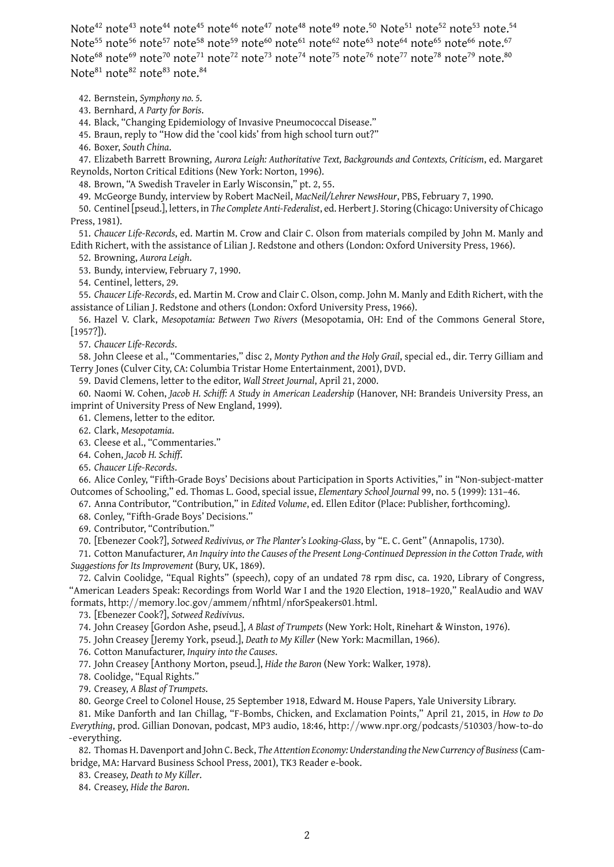Note<sup>42</sup> note<sup>43</sup> note<sup>44</sup> note<sup>45</sup> note<sup>46</sup> note<sup>47</sup> note<sup>48</sup> note<sup>50</sup> note<sup>51</sup> note<sup>52</sup> note<sup>53</sup> note.<sup>54</sup> Note<sup>55</sup> note<sup>56</sup> note<sup>57</sup> note<sup>58</sup> note<sup>59</sup> note<sup>60</sup> note<sup>61</sup> note<sup>62</sup> note<sup>63</sup> note<sup>64</sup> note<sup>65</sup> note<sup>66</sup> note.<sup>67</sup> Note<sup>68</sup> note<sup>69</sup> note<sup>70</sup> note<sup>71</sup> note<sup>72</sup> note<sup>73</sup> note<sup>74</sup> note<sup>75</sup> note<sup>76</sup> note<sup>77</sup> note<sup>78</sup> note<sup>79</sup> note.<sup>80</sup> Note<sup>81</sup> note<sup>82</sup> note<sup>83</sup> note.<sup>84</sup>

42. Bernstein, *Symphony no. 5*.

43. Bernhard, *A Party for Boris*.

44. Black, "Changing Epidemiology of Invasive Pneumococcal Disease."

45. Braun, reply to "How did the 'cool kids' from high school turn out?"

46. Boxer, *South China*.

47. Elizabeth Barrett Browning, *Aurora Leigh: Authoritative Text, Backgrounds and Contexts, Criticism*, ed. Margaret Reynolds, Norton Critical Editions (New York: Norton, 1996).

48. Brown, "A Swedish Traveler in Early Wisconsin," pt. 2, 55.

49. McGeorge Bundy, interview by Robert MacNeil, *MacNeil/Lehrer NewsHour*, PBS, February 7, 1990.

50. Centinel [pseud.], letters, in *The Complete Anti-Federalist*, ed. Herbert J. Storing (Chicago: University of Chicago Press, 1981).

51. *Chaucer Life-Records*, ed. Martin M. Crow and Clair C. Olson from materials compiled by John M. Manly and Edith Richert, with the assistance of Lilian J. Redstone and others (London: Oxford University Press, 1966).

52. Browning, *Aurora Leigh*.

53. Bundy, interview, February 7, 1990.

54. Centinel, letters, 29.

55. *Chaucer Life-Records*, ed. Martin M. Crow and Clair C. Olson, comp. John M. Manly and Edith Richert, with the assistance of Lilian J. Redstone and others (London: Oxford University Press, 1966).

56. Hazel V. Clark, *Mesopotamia: Between Two Rivers* (Mesopotamia, OH: End of the Commons General Store, [1957?]).

57. *Chaucer Life-Records*.

58. John Cleese et al., "Commentaries," disc 2, *Monty Python and the Holy Grail*, special ed., dir. Terry Gilliam and Terry Jones (Culver City, CA: Columbia Tristar Home Entertainment, 2001), DVD.

59. David Clemens, letter to the editor, *Wall Street Journal*, April 21, 2000.

60. Naomi W. Cohen, *Jacob H. Schiff: A Study in American Leadership* (Hanover, NH: Brandeis University Press, an imprint of University Press of New England, 1999).

61. Clemens, letter to the editor.

62. Clark, *Mesopotamia*.

63. Cleese et al., "Commentaries."

64. Cohen, *Jacob H. Schiff*.

65. *Chaucer Life-Records*.

66. Alice Conley, "Fifth-Grade Boys' Decisions about Participation in Sports Activities," in "Non-subject-matter Outcomes of Schooling," ed. Thomas L. Good, special issue, *Elementary School Journal* 99, no. 5 (1999): 131–46.

67. Anna Contributor, "Contribution," in *Edited Volume*, ed. Ellen Editor (Place: Publisher, forthcoming).

68. Conley, "Fifth-Grade Boys' Decisions."

69. Contributor, "Contribution."

70. [Ebenezer Cook?], *Sotweed Redivivus, or The Planter's Looking-Glass*, by "E. C. Gent" (Annapolis, 1730).

71. Cotton Manufacturer, *An Inquiry into the Causes of the Present Long-Continued Depression in the Cotton Trade, with Suggestions for Its Improvement* (Bury, UK, 1869).

72. Calvin Coolidge, "Equal Rights" (speech), copy of an undated 78 rpm disc, ca. 1920, Library of Congress, "American Leaders Speak: Recordings from World War I and the 1920 Election, 1918–1920," RealAudio and WAV formats, http://memory*.*loc*.*gov/ammem/nfhtml/nforSpeakers01*.*html.

73. [Ebenezer Cook?], *Sotweed Redivivus*.

74. John Creasey [Gordon Ashe, pseud.], *A Blast of Trumpets* (New York: Holt, Rinehart & Winston, 1976).

75. John Creasey [Jeremy York, pseud.], *Death to My Killer* (New York: Macmillan, 1966).

76. Cotton Manufacturer, *Inquiry into the Causes*.

77. John Creasey [Anthony Morton, pseud.], *Hide the Baron* (New York: Walker, 1978).

78. Coolidge, "Equal Rights."

79. Creasey, *A Blast of Trumpets*.

80. George Creel to Colonel House, 25 September 1918, Edward M. House Papers, Yale University Library.

81. Mike Danforth and Ian Chillag, "F-Bombs, Chicken, and Exclamation Points," April 21, 2015, in *How to Do Everything*, prod. Gillian Donovan, podcast, MP3 audio, 18:46, http://www*.*npr*.*org/podcasts/510303/how-to-do -everything.

82. Thomas H. Davenport and John C. Beck, *The Attention Economy: Understanding the New Currency of Business*(Cambridge, MA: Harvard Business School Press, 2001), TK3 Reader e-book.

83. Creasey, *Death to My Killer*.

84. Creasey, *Hide the Baron*.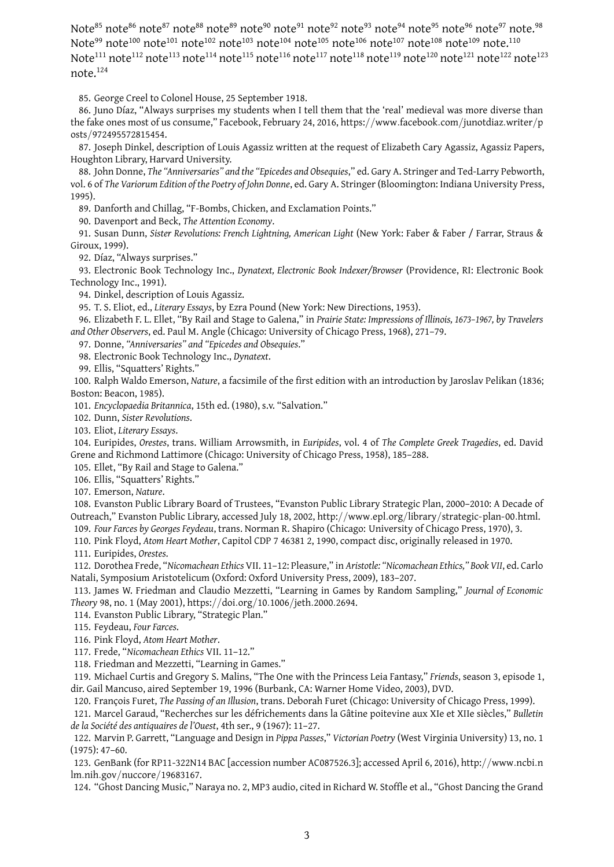Note<sup>85</sup> note<sup>86</sup> note<sup>87</sup> note<sup>88</sup> note<sup>89</sup> note<sup>90</sup> note<sup>91</sup> note<sup>92</sup> note<sup>94</sup> note<sup>94</sup> note<sup>95</sup> note<sup>97</sup> note.<sup>98</sup> Note<sup>99</sup> note<sup>100</sup> note<sup>101</sup> note<sup>102</sup> note<sup>103</sup> note<sup>104</sup> note<sup>105</sup> note<sup>106</sup> note<sup>107</sup> note<sup>108</sup> note<sup>109</sup> note.<sup>110</sup> Note<sup>111</sup> note<sup>112</sup> note<sup>113</sup> note<sup>114</sup> note<sup>115</sup> note<sup>116</sup> note<sup>117</sup> note<sup>118</sup> note<sup>119</sup> note<sup>120</sup> note<sup>121</sup> note<sup>122</sup> note<sup>123</sup> note.<sup>124</sup>

85. George Creel to Colonel House, 25 September 1918.

86. Juno Díaz, "Always surprises my students when I tell them that the 'real' medieval was more diverse than the fake ones most of us consume," Facebook, February 24, 2016, https://www*.*facebook*.*com/junotdiaz*.*writer/p osts/972495572815454.

87. Joseph Dinkel, description of Louis Agassiz written at the request of Elizabeth Cary Agassiz, Agassiz Papers, Houghton Library, Harvard University.

88. John Donne, *The "Anniversaries" and the "Epicedes and Obsequies*," ed. Gary A. Stringer and Ted-Larry Pebworth, vol. 6 of *The Variorum Edition of the Poetry of John Donne*, ed. Gary A. Stringer (Bloomington: Indiana University Press, 1995).

89. Danforth and Chillag, "F-Bombs, Chicken, and Exclamation Points."

90. Davenport and Beck, *The Attention Economy*.

91. Susan Dunn, *Sister Revolutions: French Lightning, American Light* (New York: Faber & Faber / Farrar, Straus & Giroux, 1999).

92. Díaz, "Always surprises."

93. Electronic Book Technology Inc., *Dynatext, Electronic Book Indexer/Browser* (Providence, RI: Electronic Book Technology Inc., 1991).

94. Dinkel, description of Louis Agassiz.

95. T. S. Eliot, ed., *Literary Essays*, by Ezra Pound (New York: New Directions, 1953).

96. Elizabeth F. L. Ellet, "By Rail and Stage to Galena," in *Prairie State: Impressions of Illinois, 1673–1967, by Travelers and Other Observers*, ed. Paul M. Angle (Chicago: University of Chicago Press, 1968), 271–79.

97. Donne, *"Anniversaries" and "Epicedes and Obsequies*."

98. Electronic Book Technology Inc., *Dynatext*.

99. Ellis, "Squatters' Rights."

100. Ralph Waldo Emerson, *Nature*, a facsimile of the first edition with an introduction by Jaroslav Pelikan (1836; Boston: Beacon, 1985).

101. *Encyclopaedia Britannica*, 15th ed. (1980), s.v. "Salvation."

102. Dunn, *Sister Revolutions*.

103. Eliot, *Literary Essays*.

104. Euripides, *Orestes*, trans. William Arrowsmith, in *Euripides*, vol. 4 of *The Complete Greek Tragedies*, ed. David Grene and Richmond Lattimore (Chicago: University of Chicago Press, 1958), 185–288.

105. Ellet, "By Rail and Stage to Galena."

106. Ellis, "Squatters' Rights."

107. Emerson, *Nature*.

108. Evanston Public Library Board of Trustees, "Evanston Public Library Strategic Plan, 2000–2010: A Decade of Outreach," Evanston Public Library, accessed July 18, 2002, http://www*.*epl*.*org/library/strategic-plan-00*.*html. 109. *Four Farces by Georges Feydeau*, trans. Norman R. Shapiro (Chicago: University of Chicago Press, 1970), 3.

110. Pink Floyd, *Atom Heart Mother*, Capitol CDP 7 46381 2, 1990, compact disc, originally released in 1970.

111. Euripides, *Orestes*.

112. Dorothea Frede, "*Nicomachean Ethics* VII. 11–12: Pleasure," in *Aristotle: "Nicomachean Ethics," Book VII*, ed. Carlo Natali, Symposium Aristotelicum (Oxford: Oxford University Press, 2009), 183–207.

113. James W. Friedman and Claudio Mezzetti, "Learning in Games by Random Sampling," *Journal of Economic Theory* 98, no. 1 (May 2001), https://doi*.*org/10*.*1006/jeth*.*2000*.*2694.

114. Evanston Public Library, "Strategic Plan."

115. Feydeau, *Four Farces*.

116. Pink Floyd, *Atom Heart Mother*.

117. Frede, "*Nicomachean Ethics* VII. 11–12."

118. Friedman and Mezzetti, "Learning in Games."

119. Michael Curtis and Gregory S. Malins, "The One with the Princess Leia Fantasy," *Friends*, season 3, episode 1, dir. Gail Mancuso, aired September 19, 1996 (Burbank, CA: Warner Home Video, 2003), DVD.

120. François Furet, *The Passing of an Illusion*, trans. Deborah Furet (Chicago: University of Chicago Press, 1999).

121. Marcel Garaud, "Recherches sur les défrichements dans la Gâtine poitevine aux XIe et XIIe siècles," *Bulletin de la Société des antiquaires de l'Ouest*, 4th ser., 9 (1967): 11–27.

122. Marvin P. Garrett, "Language and Design in *Pippa Passes*," *Victorian Poetry* (West Virginia University) 13, no. 1 (1975): 47–60.

123. GenBank (for RP11-322N14 BAC [accession number AC087526.3]; accessed April 6, 2016), http://www*.*ncbi*.*n lm*.*nih*.*gov/nuccore/19683167.

124. "Ghost Dancing Music," Naraya no. 2, MP3 audio, cited in Richard W. Stoffle et al., "Ghost Dancing the Grand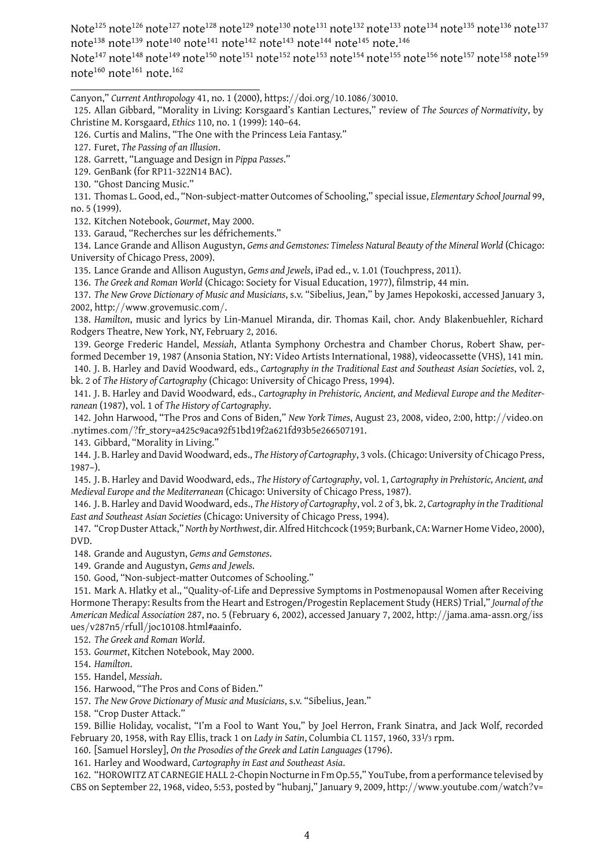Note<sup>125</sup> note<sup>126</sup> note<sup>127</sup> note<sup>128</sup> note<sup>129</sup> note<sup>130</sup> note<sup>131</sup> note<sup>132</sup> note<sup>133</sup> note<sup>134</sup> note<sup>135</sup> note<sup>136</sup> note<sup>137</sup> note<sup>138</sup> note<sup>139</sup> note<sup>140</sup> note<sup>141</sup> note<sup>142</sup> note<sup>143</sup> note<sup>144</sup> note<sup>145</sup> note.<sup>146</sup>

Note<sup>147</sup> note<sup>148</sup> note<sup>149</sup> note<sup>150</sup> note<sup>151</sup> note<sup>152</sup> note<sup>153</sup> note<sup>154</sup> note<sup>155</sup> note<sup>156</sup> note<sup>158</sup> note<sup>158</sup> note<sup>160</sup> note<sup>161</sup> note.<sup>162</sup>

Canyon," *Current Anthropology* 41, no. 1 (2000), https://doi*.*org/10*.*1086/30010.

131. Thomas L. Good, ed., "Non-subject-matter Outcomes of Schooling," special issue, *Elementary School Journal* 99, no. 5 (1999).

132. Kitchen Notebook, *Gourmet*, May 2000.

133. Garaud, "Recherches sur les défrichements."

134. Lance Grande and Allison Augustyn, *Gems and Gemstones: Timeless Natural Beauty of the Mineral World* (Chicago: University of Chicago Press, 2009).

135. Lance Grande and Allison Augustyn, *Gems and Jewels*, iPad ed., v. 1.01 (Touchpress, 2011).

136. *The Greek and Roman World* (Chicago: Society for Visual Education, 1977), filmstrip, 44 min.

137. *The New Grove Dictionary of Music and Musicians*, s.v. "Sibelius, Jean," by James Hepokoski, accessed January 3, 2002, http://www*.*grovemusic*.*com/.

138. *Hamilton*, music and lyrics by Lin-Manuel Miranda, dir. Thomas Kail, chor. Andy Blakenbuehler, Richard Rodgers Theatre, New York, NY, February 2, 2016.

139. George Frederic Handel, *Messiah*, Atlanta Symphony Orchestra and Chamber Chorus, Robert Shaw, performed December 19, 1987 (Ansonia Station, NY: Video Artists International, 1988), videocassette (VHS), 141 min.

140. J. B. Harley and David Woodward, eds., *Cartography in the Traditional East and Southeast Asian Societies*, vol. 2, bk. 2 of *The History of Cartography* (Chicago: University of Chicago Press, 1994).

141. J. B. Harley and David Woodward, eds., *Cartography in Prehistoric, Ancient, and Medieval Europe and the Mediterranean* (1987), vol. 1 of *The History of Cartography*.

142. John Harwood, "The Pros and Cons of Biden," *New York Times*, August 23, 2008, video, 2:00, http://video*.*on *.*nytimes*.*com/?fr\_story=a425c9aca92f51bd19f2a621fd93b5e266507191.

143. Gibbard, "Morality in Living."

144. J. B. Harley and David Woodward, eds., *The History of Cartography*, 3 vols. (Chicago: University of Chicago Press, 1987–).

145. J. B. Harley and David Woodward, eds., *The History of Cartography*, vol. 1, *Cartography in Prehistoric, Ancient, and Medieval Europe and the Mediterranean* (Chicago: University of Chicago Press, 1987).

146. J. B. Harley and David Woodward, eds., *The History of Cartography*, vol. 2 of 3, bk. 2, *Cartography in the Traditional East and Southeast Asian Societies* (Chicago: University of Chicago Press, 1994).

147. "Crop Duster Attack,"*North by Northwest*, dir. Alfred Hitchcock (1959; Burbank, CA: Warner Home Video, 2000), DVD.

148. Grande and Augustyn, *Gems and Gemstones*.

149. Grande and Augustyn, *Gems and Jewels*.

150. Good, "Non-subject-matter Outcomes of Schooling."

151. Mark A. Hlatky et al., "Quality-of-Life and Depressive Symptoms in Postmenopausal Women after Receiving Hormone Therapy: Results from the Heart and Estrogen/Progestin Replacement Study (HERS) Trial," *Journal of the American Medical Association* 287, no. 5 (February 6, 2002), accessed January 7, 2002, http://jama*.*ama-assn*.*org/iss ues/v287n5/rfull/joc10108*.*html#aainfo.

152. *The Greek and Roman World*.

153. *Gourmet*, Kitchen Notebook, May 2000.

154. *Hamilton*.

155. Handel, *Messiah*.

156. Harwood, "The Pros and Cons of Biden."

157. *The New Grove Dictionary of Music and Musicians*, s.v. "Sibelius, Jean."

158. "Crop Duster Attack."

159. Billie Holiday, vocalist, "I'm a Fool to Want You," by Joel Herron, Frank Sinatra, and Jack Wolf, recorded February 20, 1958, with Ray Ellis, track 1 on *Lady in Satin*, Columbia CL 1157, 1960, 331/3 rpm.

160. [Samuel Horsley], *On the Prosodies of the Greek and Latin Languages* (1796).

161. Harley and Woodward, *Cartography in East and Southeast Asia*.

162. "HOROWITZ AT CARNEGIE HALL 2-Chopin Nocturne in Fm Op.55," YouTube, from a performance televised by CBS on September 22, 1968, video, 5:53, posted by "hubanj," January 9, 2009, http://www*.*youtube*.*com/watch?v=

<sup>125.</sup> Allan Gibbard, "Morality in Living: Korsgaard's Kantian Lectures," review of *The Sources of Normativity*, by Christine M. Korsgaard, *Ethics* 110, no. 1 (1999): 140–64.

<sup>126.</sup> Curtis and Malins, "The One with the Princess Leia Fantasy."

<sup>127.</sup> Furet, *The Passing of an Illusion*.

<sup>128.</sup> Garrett, "Language and Design in *Pippa Passes*."

<sup>129.</sup> GenBank (for RP11-322N14 BAC).

<sup>130. &</sup>quot;Ghost Dancing Music."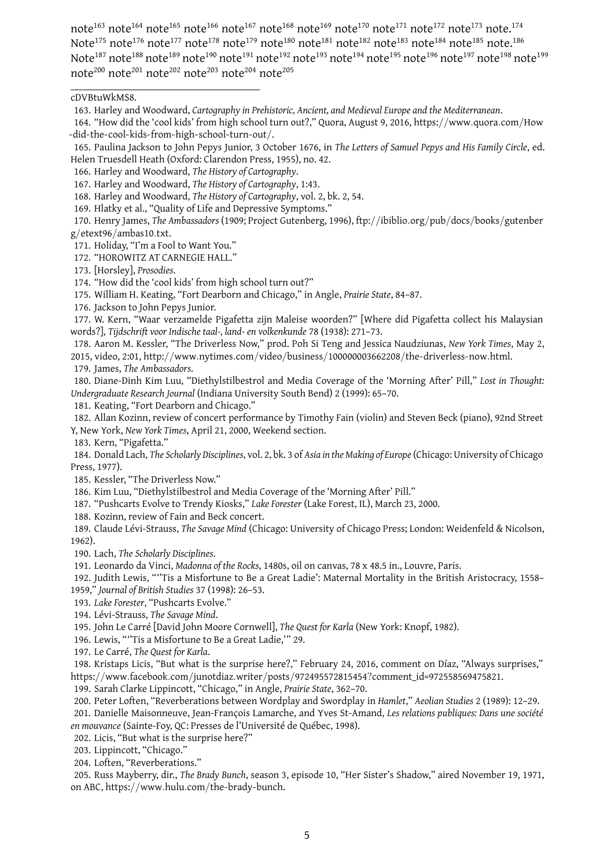note<sup>163</sup> note<sup>164</sup> note<sup>165</sup> note<sup>166</sup> note<sup>167</sup> note<sup>168</sup> note<sup>169</sup> note<sup>170</sup> note<sup>171</sup> note<sup>172</sup> note<sup>173</sup> note.<sup>174</sup> Note<sup>175</sup> note<sup>176</sup> note<sup>177</sup> note<sup>178</sup> note<sup>179</sup> note<sup>180</sup> note<sup>181</sup> note<sup>182</sup> note<sup>183</sup> note<sup>184</sup> note<sup>185</sup> note.<sup>186</sup> Note<sup>187</sup> note<sup>188</sup> note<sup>189</sup> note<sup>190</sup> note<sup>191</sup> note<sup>192</sup> note<sup>193</sup> note<sup>194</sup> note<sup>195</sup> note<sup>196</sup> note<sup>197</sup> note<sup>198</sup> note<sup>199</sup> note<sup>200</sup> note<sup>201</sup> note<sup>202</sup> note<sup>203</sup> note<sup>204</sup> note<sup>205</sup>

cDVBtuWkMS8.

170. Henry James, *The Ambassadors* (1909; Project Gutenberg, 1996), ftp://ibiblio*.*org/pub/docs/books/gutenber g/etext96/ambas10*.*txt.

171. Holiday, "I'm a Fool to Want You."

- 172. "HOROWITZ AT CARNEGIE HALL."
- 173. [Horsley], *Prosodies*.
- 174. "How did the 'cool kids' from high school turn out?"
- 175. William H. Keating, "Fort Dearborn and Chicago," in Angle, *Prairie State*, 84–87.
- 176. Jackson to John Pepys Junior.

177. W. Kern, "Waar verzamelde Pigafetta zijn Maleise woorden?" [Where did Pigafetta collect his Malaysian words?], *Tijdschrift voor Indische taal-, land- en volkenkunde* 78 (1938): 271–73.

178. Aaron M. Kessler, "The Driverless Now," prod. Poh Si Teng and Jessica Naudziunas, *New York Times*, May 2, 2015, video, 2:01, http://www*.*nytimes*.*com/video/business/100000003662208/the-driverless-now*.*html.

179. James, *The Ambassadors*.

180. Diane-Dinh Kim Luu, "Diethylstilbestrol and Media Coverage of the 'Morning After' Pill," *Lost in Thought: Undergraduate Research Journal* (Indiana University South Bend) 2 (1999): 65–70.

181. Keating, "Fort Dearborn and Chicago."

182. Allan Kozinn, review of concert performance by Timothy Fain (violin) and Steven Beck (piano), 92nd Street Y, New York, *New York Times*, April 21, 2000, Weekend section.

183. Kern, "Pigafetta."

184. Donald Lach, *The Scholarly Disciplines*, vol. 2, bk. 3 of *Asia in the Making of Europe*(Chicago: University of Chicago Press, 1977).

185. Kessler, "The Driverless Now."

186. Kim Luu, "Diethylstilbestrol and Media Coverage of the 'Morning After' Pill."

187. "Pushcarts Evolve to Trendy Kiosks," *Lake Forester* (Lake Forest, IL), March 23, 2000.

188. Kozinn, review of Fain and Beck concert.

189. Claude Lévi-Strauss, *The Savage Mind* (Chicago: University of Chicago Press; London: Weidenfeld & Nicolson, 1962).

190. Lach, *The Scholarly Disciplines*.

191. Leonardo da Vinci, *Madonna of the Rocks*, 1480s, oil on canvas, 78 x 48.5 in., Louvre, Paris.

192. Judith Lewis, "''Tis a Misfortune to Be a Great Ladie': Maternal Mortality in the British Aristocracy, 1558–

1959," *Journal of British Studies* 37 (1998): 26–53.

193. *Lake Forester*, "Pushcarts Evolve."

194. Lévi-Strauss, *The Savage Mind*.

195. John Le Carré [David John Moore Cornwell], *The Quest for Karla* (New York: Knopf, 1982).

196. Lewis, "''Tis a Misfortune to Be a Great Ladie,'" 29.

197. Le Carré, *The Quest for Karla*.

198. Kristaps Licis, "But what is the surprise here?," February 24, 2016, comment on Díaz, "Always surprises," https://www*.*facebook*.*com/junotdiaz*.*writer/posts/972495572815454?comment\_id=972558569475821.

199. Sarah Clarke Lippincott, "Chicago," in Angle, *Prairie State*, 362–70.

200. Peter Loften, "Reverberations between Wordplay and Swordplay in *Hamlet*," *Aeolian Studies* 2 (1989): 12–29.

201. Danielle Maisonneuve, Jean-François Lamarche, and Yves St-Amand, *Les relations publiques: Dans une société en mouvance* (Sainte-Foy, QC: Presses de l'Université de Québec, 1998).

202. Licis, "But what is the surprise here?"

203. Lippincott, "Chicago."

204. Loften, "Reverberations."

205. Russ Mayberry, dir., *The Brady Bunch*, season 3, episode 10, "Her Sister's Shadow," aired November 19, 1971, on ABC, https://www*.*hulu*.*com/the-brady-bunch.

<sup>163.</sup> Harley and Woodward, *Cartography in Prehistoric, Ancient, and Medieval Europe and the Mediterranean*.

<sup>164. &</sup>quot;How did the 'cool kids' from high school turn out?," Quora, August 9, 2016, https://www*.*quora*.*com/How -did-the-cool-kids-from-high-school-turn-out/.

<sup>165.</sup> Paulina Jackson to John Pepys Junior, 3 October 1676, in *The Letters of Samuel Pepys and His Family Circle*, ed. Helen Truesdell Heath (Oxford: Clarendon Press, 1955), no. 42.

<sup>166.</sup> Harley and Woodward, *The History of Cartography*.

<sup>167.</sup> Harley and Woodward, *The History of Cartography*, 1:43.

<sup>168.</sup> Harley and Woodward, *The History of Cartography*, vol. 2, bk. 2, 54.

<sup>169.</sup> Hlatky et al., "Quality of Life and Depressive Symptoms."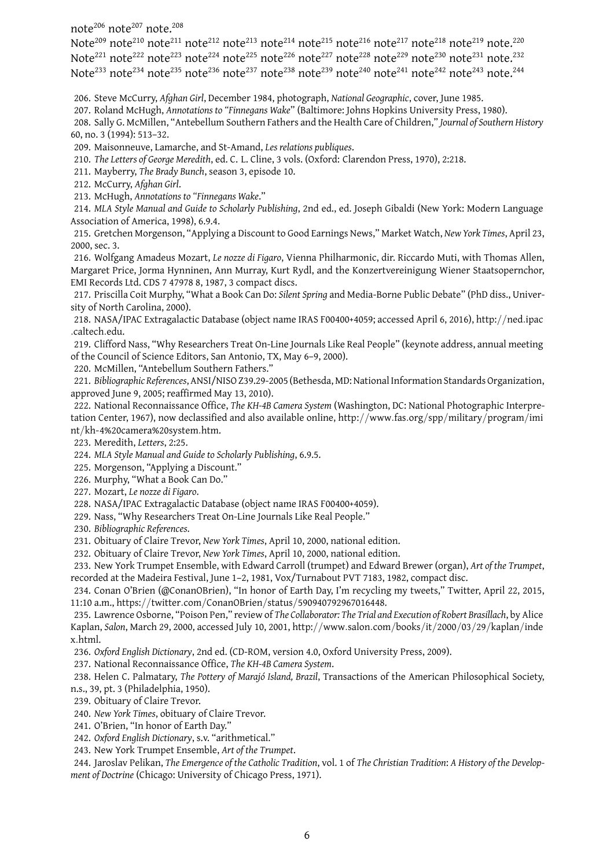note<sup>206</sup> note<sup>207</sup> note.<sup>208</sup>

Note<sup>209</sup> note<sup>210</sup> note<sup>211</sup> note<sup>212</sup> note<sup>213</sup> note<sup>214</sup> note<sup>215</sup> note<sup>216</sup> note<sup>217</sup> note<sup>218</sup> note<sup>219</sup> note.<sup>220</sup> Note<sup>221</sup> note<sup>222</sup> note<sup>223</sup> note<sup>224</sup> note<sup>225</sup> note<sup>226</sup> note<sup>227</sup> note<sup>228</sup> note<sup>229</sup> note<sup>230</sup> note<sup>231</sup> note.<sup>232</sup> Note<sup>233</sup> note<sup>234</sup> note<sup>235</sup> note<sup>236</sup> note<sup>237</sup> note<sup>238</sup> note<sup>239</sup> note<sup>240</sup> note<sup>241</sup> note<sup>242</sup> note<sup>243</sup> note.<sup>244</sup>

206. Steve McCurry, *Afghan Girl*, December 1984, photograph, *National Geographic*, cover, June 1985.

207. Roland McHugh, *Annotations to "Finnegans Wake*" (Baltimore: Johns Hopkins University Press, 1980).

208. Sally G. McMillen, "Antebellum Southern Fathers and the Health Care of Children," *Journal of Southern History* 60, no. 3 (1994): 513–32.

209. Maisonneuve, Lamarche, and St-Amand, *Les relations publiques*.

210. *The Letters of George Meredith*, ed. C. L. Cline, 3 vols. (Oxford: Clarendon Press, 1970), 2:218.

211. Mayberry, *The Brady Bunch*, season 3, episode 10.

212. McCurry, *Afghan Girl*.

213. McHugh, *Annotations to "Finnegans Wake*."

214. *MLA Style Manual and Guide to Scholarly Publishing*, 2nd ed., ed. Joseph Gibaldi (New York: Modern Language Association of America, 1998), 6.9.4.

215. Gretchen Morgenson, "Applying a Discount to Good Earnings News," Market Watch, *New York Times*, April 23, 2000, sec. 3.

216. Wolfgang Amadeus Mozart, *Le nozze di Figaro*, Vienna Philharmonic, dir. Riccardo Muti, with Thomas Allen, Margaret Price, Jorma Hynninen, Ann Murray, Kurt Rydl, and the Konzertvereinigung Wiener Staatsopernchor, EMI Records Ltd. CDS 7 47978 8, 1987, 3 compact discs.

217. Priscilla Coit Murphy, "What a Book Can Do: *Silent Spring* and Media-Borne Public Debate" (PhD diss., University of North Carolina, 2000).

218. NASA/IPAC Extragalactic Database (object name IRAS F00400+4059; accessed April 6, 2016), http://ned*.*ipac *.*caltech*.*edu.

219. Clifford Nass, "Why Researchers Treat On-Line Journals Like Real People" (keynote address, annual meeting of the Council of Science Editors, San Antonio, TX, May 6–9, 2000).

220. McMillen, "Antebellum Southern Fathers."

221. *Bibliographic References*, ANSI/NISO Z39.29-2005 (Bethesda, MD: NationalInformation Standards Organization, approved June 9, 2005; reaffirmed May 13, 2010).

222. National Reconnaissance Office, *The KH-4B Camera System* (Washington, DC: National Photographic Interpretation Center, 1967), now declassified and also available online, http://www*.*fas*.*org/spp/military/program/imi nt/kh-4%20camera%20system*.*htm.

223. Meredith, *Letters*, 2:25.

224. *MLA Style Manual and Guide to Scholarly Publishing*, 6.9.5.

225. Morgenson, "Applying a Discount."

226. Murphy, "What a Book Can Do."

227. Mozart, *Le nozze di Figaro*.

228. NASA/IPAC Extragalactic Database (object name IRAS F00400+4059).

229. Nass, "Why Researchers Treat On-Line Journals Like Real People."

230. *Bibliographic References*.

231. Obituary of Claire Trevor, *New York Times*, April 10, 2000, national edition.

232. Obituary of Claire Trevor, *New York Times*, April 10, 2000, national edition.

233. New York Trumpet Ensemble, with Edward Carroll (trumpet) and Edward Brewer (organ), *Art of the Trumpet*, recorded at the Madeira Festival, June 1–2, 1981, Vox/Turnabout PVT 7183, 1982, compact disc.

234. Conan O'Brien (@ConanOBrien), "In honor of Earth Day, I'm recycling my tweets," Twitter, April 22, 2015, 11:10 a.m., https://twitter*.*com/ConanOBrien/status/590940792967016448.

235. Lawrence Osborne, "Poison Pen," review of *The Collaborator: The Trial and Execution of Robert Brasillach*, by Alice Kaplan, *Salon*, March 29, 2000, accessed July 10, 2001, http://www*.*salon*.*com/books/it/2000/03/29/kaplan/inde x*.*html.

236. *Oxford English Dictionary*, 2nd ed. (CD-ROM, version 4.0, Oxford University Press, 2009).

237. National Reconnaissance Office, *The KH-4B Camera System*.

238. Helen C. Palmatary, *The Pottery of Marajó Island, Brazil*, Transactions of the American Philosophical Society, n.s., 39, pt. 3 (Philadelphia, 1950).

239. Obituary of Claire Trevor.

240. *New York Times*, obituary of Claire Trevor.

241. O'Brien, "In honor of Earth Day."

242. *Oxford English Dictionary*, s.v. "arithmetical."

243. New York Trumpet Ensemble, *Art of the Trumpet*.

244. Jaroslav Pelikan, *The Emergence of the Catholic Tradition*, vol. 1 of *The Christian Tradition*: *A History of the Development of Doctrine* (Chicago: University of Chicago Press, 1971).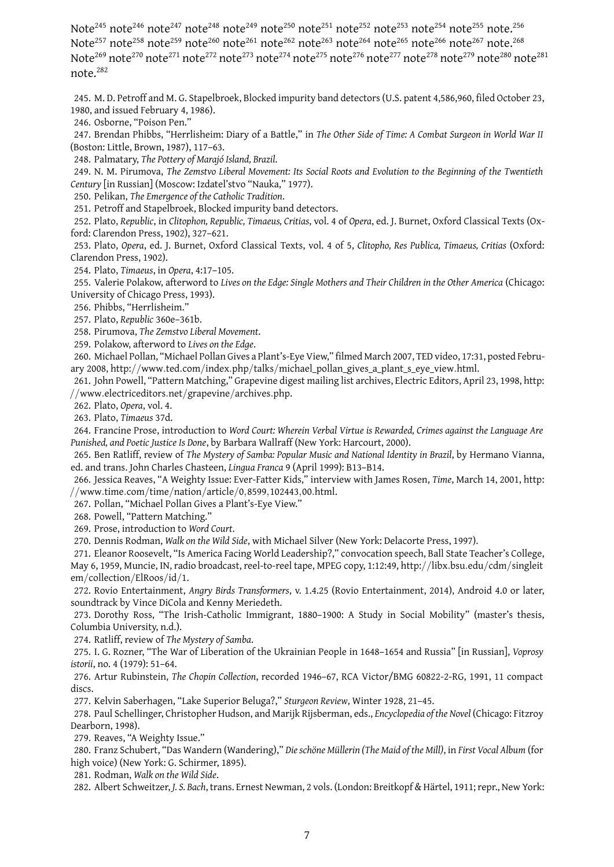Note<sup>245</sup> note<sup>246</sup> note<sup>247</sup> note<sup>248</sup> note<sup>249</sup> note<sup>250</sup> note<sup>251</sup> note<sup>252</sup> note<sup>254</sup> note<sup>255</sup> note.<sup>256</sup> Note<sup>257</sup> note<sup>258</sup> note<sup>259</sup> note<sup>260</sup> note<sup>261</sup> note<sup>262</sup> note<sup>263</sup> note<sup>264</sup> note<sup>265</sup> note<sup>266</sup> note<sup>267</sup> note.<sup>268</sup> Note<sup>269</sup> note<sup>270</sup> note<sup>271</sup> note<sup>272</sup> note<sup>273</sup> note<sup>274</sup> note<sup>275</sup> note<sup>276</sup> note<sup>277</sup> note<sup>278</sup> note<sup>279</sup> note<sup>280</sup> note<sup>281</sup> note.<sup>282</sup>

245. M. D. Petroff and M. G. Stapelbroek, Blocked impurity band detectors (U.S. patent 4,586,960, filed October 23, 1980, and issued February 4, 1986).

246. Osborne, "Poison Pen."

247. Brendan Phibbs, "Herrlisheim: Diary of a Battle," in *The Other Side of Time: A Combat Surgeon in World War II* (Boston: Little, Brown, 1987), 117–63.

248. Palmatary, *The Pottery of Marajó Island, Brazil*.

249. N. M. Pirumova, *The Zemstvo Liberal Movement: Its Social Roots and Evolution to the Beginning of the Twentieth Century* [in Russian] (Moscow: Izdatel'stvo "Nauka," 1977).

250. Pelikan, *The Emergence of the Catholic Tradition*.

251. Petroff and Stapelbroek, Blocked impurity band detectors.

252. Plato, *Republic*, in *Clitophon, Republic, Timaeus, Critias*, vol. 4 of *Opera*, ed. J. Burnet, Oxford Classical Texts (Oxford: Clarendon Press, 1902), 327–621.

253. Plato, *Opera*, ed. J. Burnet, Oxford Classical Texts, vol. 4 of 5, *Clitopho, Res Publica, Timaeus, Critias* (Oxford: Clarendon Press, 1902).

254. Plato, *Timaeus*, in *Opera*, 4:17–105.

255. Valerie Polakow, afterword to *Lives on the Edge: Single Mothers and Their Children in the Other America* (Chicago: University of Chicago Press, 1993).

256. Phibbs, "Herrlisheim."

257. Plato, *Republic* 360e–361b.

258. Pirumova, *The Zemstvo Liberal Movement*.

259. Polakow, afterword to *Lives on the Edge*.

260. Michael Pollan, "Michael Pollan Gives a Plant's-Eye View," filmed March 2007, TED video, 17:31, posted February 2008, http://www*.*ted*.*com/index*.*php/talks/michael\_pollan\_gives\_a\_plant\_s\_eye\_view*.*html.

261. John Powell, "Pattern Matching," Grapevine digest mailing list archives, Electric Editors, April 23, 1998, http: //www*.*electriceditors*.*net/grapevine/archives*.*php.

262. Plato, *Opera*, vol. 4.

263. Plato, *Timaeus* 37d.

264. Francine Prose, introduction to *Word Court: Wherein Verbal Virtue is Rewarded, Crimes against the Language Are Punished, and Poetic Justice Is Done*, by Barbara Wallraff (New York: Harcourt, 2000).

265. Ben Ratliff, review of *The Mystery of Samba: Popular Music and National Identity in Brazil*, by Hermano Vianna, ed. and trans. John Charles Chasteen, *Lingua Franca* 9 (April 1999): B13–B14.

266. Jessica Reaves, "A Weighty Issue: Ever-Fatter Kids," interview with James Rosen, *Time*, March 14, 2001, http: //www*.*time*.*com/time/nation/article/0*,*8599*,*102443*,*00*.*html.

267. Pollan, "Michael Pollan Gives a Plant's-Eye View."

268. Powell, "Pattern Matching."

269. Prose, introduction to *Word Court*.

270. Dennis Rodman, *Walk on the Wild Side*, with Michael Silver (New York: Delacorte Press, 1997).

271. Eleanor Roosevelt, "Is America Facing World Leadership?," convocation speech, Ball State Teacher's College, May 6, 1959, Muncie, IN, radio broadcast, reel-to-reel tape, MPEG copy, 1:12:49, http://libx*.*bsu*.*edu/cdm/singleit em/collection/ElRoos/id/1.

272. Rovio Entertainment, *Angry Birds Transformers*, v. 1.4.25 (Rovio Entertainment, 2014), Android 4.0 or later, soundtrack by Vince DiCola and Kenny Meriedeth.

273. Dorothy Ross, "The Irish-Catholic Immigrant, 1880–1900: A Study in Social Mobility" (master's thesis, Columbia University, n.d.).

274. Ratliff, review of *The Mystery of Samba*.

275. I. G. Rozner, "The War of Liberation of the Ukrainian People in 1648–1654 and Russia" [in Russian], *Voprosy istorii*, no. 4 (1979): 51–64.

276. Artur Rubinstein, *The Chopin Collection*, recorded 1946–67, RCA Victor/BMG 60822-2-RG, 1991, 11 compact discs.

277. Kelvin Saberhagen, "Lake Superior Beluga?," *Sturgeon Review*, Winter 1928, 21–45.

278. Paul Schellinger, Christopher Hudson, and Marijk Rijsberman, eds., *Encyclopedia of the Novel* (Chicago: Fitzroy Dearborn, 1998).

279. Reaves, "A Weighty Issue."

280. Franz Schubert, "Das Wandern (Wandering)," *Die schöne Müllerin (The Maid of the Mill)*, in *First Vocal Album* (for high voice) (New York: G. Schirmer, 1895).

281. Rodman, *Walk on the Wild Side*.

282. Albert Schweitzer, *J. S. Bach*, trans. Ernest Newman, 2 vols. (London: Breitkopf & Härtel, 1911; repr., New York: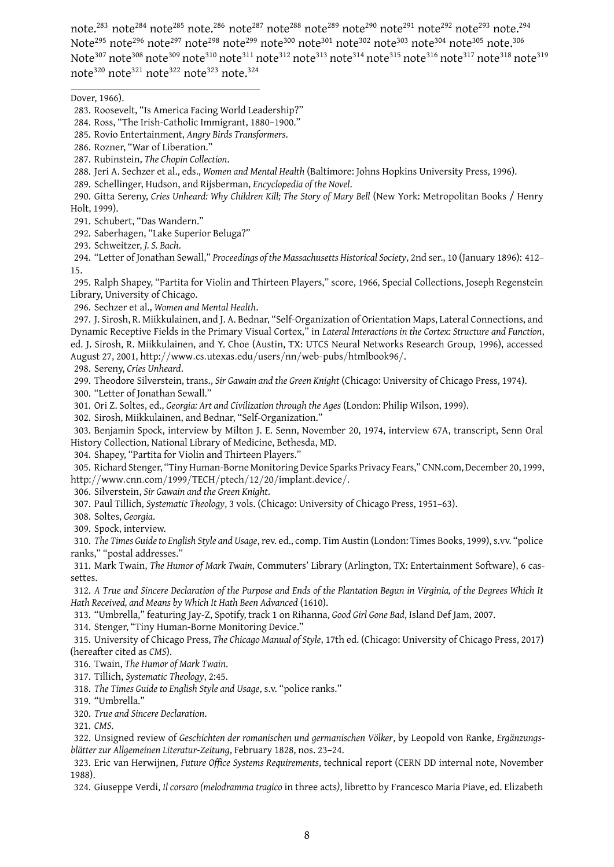note.<sup>283</sup> note<sup>284</sup> note<sup>285</sup> note.<sup>286</sup> note<sup>287</sup> note<sup>288</sup> note<sup>289</sup> note<sup>290</sup> note<sup>291</sup> note<sup>292</sup> note.<sup>294</sup> Note<sup>295</sup> note<sup>296</sup> note<sup>297</sup> note<sup>298</sup> note<sup>299</sup> note<sup>300</sup> note<sup>301</sup> note<sup>302</sup> note<sup>303</sup> note<sup>305</sup> note.<sup>306</sup> Note<sup>307</sup> note<sup>308</sup> note<sup>309</sup> note<sup>310</sup> note<sup>311</sup> note<sup>312</sup> note<sup>313</sup> note<sup>314</sup> note<sup>315</sup> note<sup>316</sup> note<sup>317</sup> note<sup>318</sup> note<sup>319</sup> note<sup>320</sup> note<sup>321</sup> note<sup>322</sup> note<sup>323</sup> note.<sup>324</sup>

Dover, 1966).

- 287. Rubinstein, *The Chopin Collection*.
- 288. Jeri A. Sechzer et al., eds., *Women and Mental Health* (Baltimore: Johns Hopkins University Press, 1996).
- 289. Schellinger, Hudson, and Rijsberman, *Encyclopedia of the Novel*.
- 290. Gitta Sereny, *Cries Unheard: Why Children Kill; The Story of Mary Bell* (New York: Metropolitan Books / Henry Holt, 1999).

291. Schubert, "Das Wandern."

292. Saberhagen, "Lake Superior Beluga?"

293. Schweitzer, *J. S. Bach*.

294. "Letter of Jonathan Sewall," *Proceedings of the Massachusetts Historical Society*, 2nd ser., 10 (January 1896): 412– 15.

295. Ralph Shapey, "Partita for Violin and Thirteen Players," score, 1966, Special Collections, Joseph Regenstein Library, University of Chicago.

296. Sechzer et al., *Women and Mental Health*.

297. J. Sirosh, R. Miikkulainen, and J. A. Bednar, "Self-Organization of Orientation Maps, Lateral Connections, and Dynamic Receptive Fields in the Primary Visual Cortex," in *Lateral Interactions in the Cortex: Structure and Function*, ed. J. Sirosh, R. Miikkulainen, and Y. Choe (Austin, TX: UTCS Neural Networks Research Group, 1996), accessed August 27, 2001, http://www*.*cs*.*utexas*.*edu/users/nn/web-pubs/htmlbook96/.

298. Sereny, *Cries Unheard*.

299. Theodore Silverstein, trans., *Sir Gawain and the Green Knight* (Chicago: University of Chicago Press, 1974).

300. "Letter of Jonathan Sewall."

301. Ori Z. Soltes, ed., *Georgia: Art and Civilization through the Ages* (London: Philip Wilson, 1999).

302. Sirosh, Miikkulainen, and Bednar, "Self-Organization."

303. Benjamin Spock, interview by Milton J. E. Senn, November 20, 1974, interview 67A, transcript, Senn Oral History Collection, National Library of Medicine, Bethesda, MD.

304. Shapey, "Partita for Violin and Thirteen Players."

305. Richard Stenger, "Tiny Human-Borne Monitoring Device Sparks Privacy Fears," CNN.com, December 20, 1999, http://www*.*cnn*.*com/1999/TECH/ptech/12/20/implant*.*device/.

306. Silverstein, *Sir Gawain and the Green Knight*.

307. Paul Tillich, *Systematic Theology*, 3 vols. (Chicago: University of Chicago Press, 1951–63).

308. Soltes, *Georgia*.

309. Spock, interview.

310. *The Times Guide to English Style and Usage*, rev. ed., comp. Tim Austin (London: Times Books, 1999), s.vv. "police ranks," "postal addresses."

311. Mark Twain, *The Humor of Mark Twain*, Commuters' Library (Arlington, TX: Entertainment Software), 6 cassettes.

312. *A True and Sincere Declaration of the Purpose and Ends of the Plantation Begun in Virginia, of the Degrees Which It Hath Received, and Means by Which It Hath Been Advanced* (1610).

313. "Umbrella," featuring Jay-Z, Spotify, track 1 on Rihanna, *Good Girl Gone Bad*, Island Def Jam, 2007.

314. Stenger, "Tiny Human-Borne Monitoring Device."

315. University of Chicago Press, *The Chicago Manual of Style*, 17th ed. (Chicago: University of Chicago Press, 2017) (hereafter cited as *CMS*).

316. Twain, *The Humor of Mark Twain*.

317. Tillich, *Systematic Theology*, 2:45.

318. *The Times Guide to English Style and Usage*, s.v. "police ranks."

319. "Umbrella."

320. *True and Sincere Declaration*.

321. *CMS*.

322. Unsigned review of *Geschichten der romanischen und germanischen Völker*, by Leopold von Ranke, *Ergänzungsblätter zur Allgemeinen Literatur-Zeitung*, February 1828, nos. 23–24.

323. Eric van Herwijnen, *Future Office Systems Requirements*, technical report (CERN DD internal note, November 1988).

324. Giuseppe Verdi, *Il corsaro (melodramma tragico* in three acts*)*, libretto by Francesco Maria Piave, ed. Elizabeth

<sup>283.</sup> Roosevelt, "Is America Facing World Leadership?"

<sup>284.</sup> Ross, "The Irish-Catholic Immigrant, 1880–1900."

<sup>285.</sup> Rovio Entertainment, *Angry Birds Transformers*.

<sup>286.</sup> Rozner, "War of Liberation."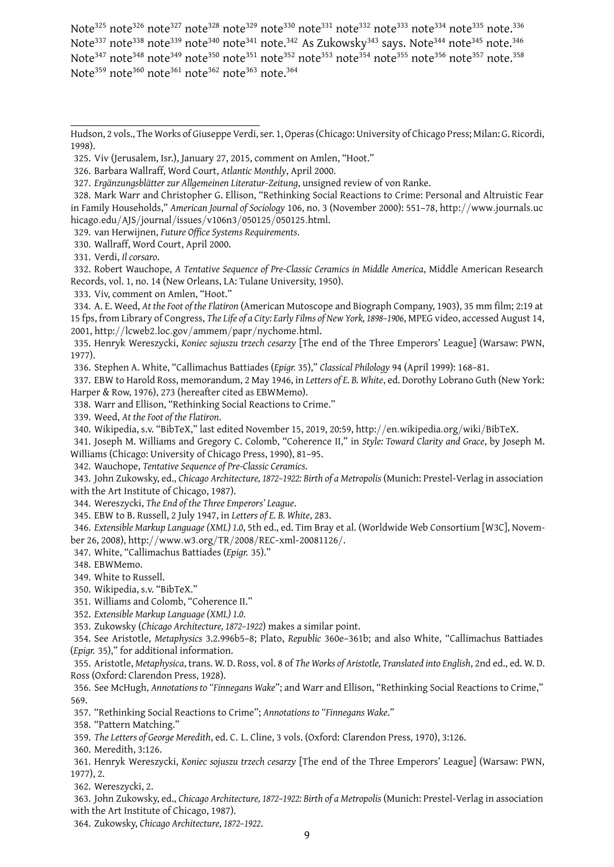Note<sup>325</sup> note<sup>326</sup> note<sup>327</sup> note<sup>328</sup> note<sup>329</sup> note<sup>330</sup> note<sup>331</sup> note<sup>332</sup> note<sup>334</sup> note<sup>335</sup> note.<sup>336</sup> Note<sup>337</sup> note<sup>338</sup> note<sup>339</sup> note<sup>340</sup> note<sup>341</sup> note.<sup>342</sup> As Zukowsky<sup>343</sup> says. Note<sup>344</sup> note<sup>345</sup> note.<sup>346</sup> Note<sup>347</sup> note<sup>348</sup> note<sup>349</sup> note<sup>350</sup> note<sup>351</sup> note<sup>352</sup> note<sup>353</sup> note<sup>354</sup> note<sup>355</sup> note<sup>357</sup> note.<sup>358</sup> Note<sup>359</sup> note<sup>360</sup> note<sup>361</sup> note<sup>362</sup> note<sup>363</sup> note.<sup>364</sup>

328. Mark Warr and Christopher G. Ellison, "Rethinking Social Reactions to Crime: Personal and Altruistic Fear in Family Households," *American Journal of Sociology* 106, no. 3 (November 2000): 551–78, http://www*.*journals*.*uc hicago*.*edu/AJS/journal/issues/v106n3/050125/050125*.*html.

329. van Herwijnen, *Future Office Systems Requirements*.

330. Wallraff, Word Court, April 2000.

331. Verdi, *Il corsaro*.

332. Robert Wauchope, *A Tentative Sequence of Pre-Classic Ceramics in Middle America*, Middle American Research Records, vol. 1, no. 14 (New Orleans, LA: Tulane University, 1950).

333. Viv, comment on Amlen, "Hoot."

334. A. E. Weed, *At the Foot of the Flatiron* (American Mutoscope and Biograph Company, 1903), 35 mm film; 2:19 at 15 fps, from Library of Congress, *The Life of a City: Early Films of New York, 1898–1906*, MPEG video, accessed August 14, 2001, http://lcweb2*.*loc*.*gov/ammem/papr/nychome*.*html.

335. Henryk Wereszycki, *Koniec sojuszu trzech cesarzy* [The end of the Three Emperors' League] (Warsaw: PWN, 1977).

336. Stephen A. White, "Callimachus Battiades (*Epigr.* 35)," *Classical Philology* 94 (April 1999): 168–81.

337. EBW to Harold Ross, memorandum, 2 May 1946, in *Letters of E. B. White*, ed. Dorothy Lobrano Guth (New York: Harper & Row, 1976), 273 (hereafter cited as EBWMemo).

338. Warr and Ellison, "Rethinking Social Reactions to Crime."

339. Weed, *At the Foot of the Flatiron*.

340. Wikipedia, s.v. "BibTeX," last edited November 15, 2019, 20:59, http://en*.*wikipedia*.*org/wiki/BibTeX.

341. Joseph M. Williams and Gregory C. Colomb, "Coherence II," in *Style: Toward Clarity and Grace*, by Joseph M. Williams (Chicago: University of Chicago Press, 1990), 81–95.

342. Wauchope, *Tentative Sequence of Pre-Classic Ceramics*.

343. John Zukowsky, ed., *Chicago Architecture, 1872–1922: Birth of a Metropolis* (Munich: Prestel-Verlag in association with the Art Institute of Chicago, 1987).

344. Wereszycki, *The End of the Three Emperors' League*.

345. EBW to B. Russell, 2 July 1947, in *Letters of E. B. White*, 283.

346. *Extensible Markup Language (XML) 1.0*, 5th ed., ed. Tim Bray et al. (Worldwide Web Consortium [W3C], November 26, 2008), http://www*.*w3*.*org/TR/2008/REC-xml-20081126/.

347. White, "Callimachus Battiades (*Epigr.* 35)."

348. EBWMemo.

349. White to Russell.

350. Wikipedia, s.v. "BibTeX."

351. Williams and Colomb, "Coherence II."

352. *Extensible Markup Language (XML) 1.0*.

353. Zukowsky (*Chicago Architecture, 1872–1922*) makes a similar point.

354. See Aristotle, *Metaphysics* 3.2.996b5–8; Plato, *Republic* 360e–361b; and also White, "Callimachus Battiades (*Epigr.* 35)," for additional information.

355. Aristotle, *Metaphysica*, trans. W. D. Ross, vol. 8 of *The Works of Aristotle, Translated into English*, 2nd ed., ed. W. D. Ross (Oxford: Clarendon Press, 1928).

356. See McHugh, *Annotations to "Finnegans Wake*"; and Warr and Ellison, "Rethinking Social Reactions to Crime," 569.

357. "Rethinking Social Reactions to Crime"; *Annotations to "Finnegans Wake*."

358. "Pattern Matching."

359. *The Letters of George Meredith*, ed. C. L. Cline, 3 vols. (Oxford: Clarendon Press, 1970), 3:126.

360. Meredith, 3:126.

361. Henryk Wereszycki, *Koniec sojuszu trzech cesarzy* [The end of the Three Emperors' League] (Warsaw: PWN, 1977), 2.

362. Wereszycki, 2.

363. John Zukowsky, ed., *Chicago Architecture, 1872–1922: Birth of a Metropolis* (Munich: Prestel-Verlag in association with the Art Institute of Chicago, 1987).

364. Zukowsky, *Chicago Architecture, 1872–1922*.

Hudson, 2 vols., The Works of Giuseppe Verdi, ser. 1, Operas (Chicago: University of Chicago Press; Milan: G. Ricordi, 1998).

<sup>325.</sup> Viv (Jerusalem, Isr.), January 27, 2015, comment on Amlen, "Hoot."

<sup>326.</sup> Barbara Wallraff, Word Court, *Atlantic Monthly*, April 2000.

<sup>327.</sup> *Ergänzungsblätter zur Allgemeinen Literatur-Zeitung*, unsigned review of von Ranke.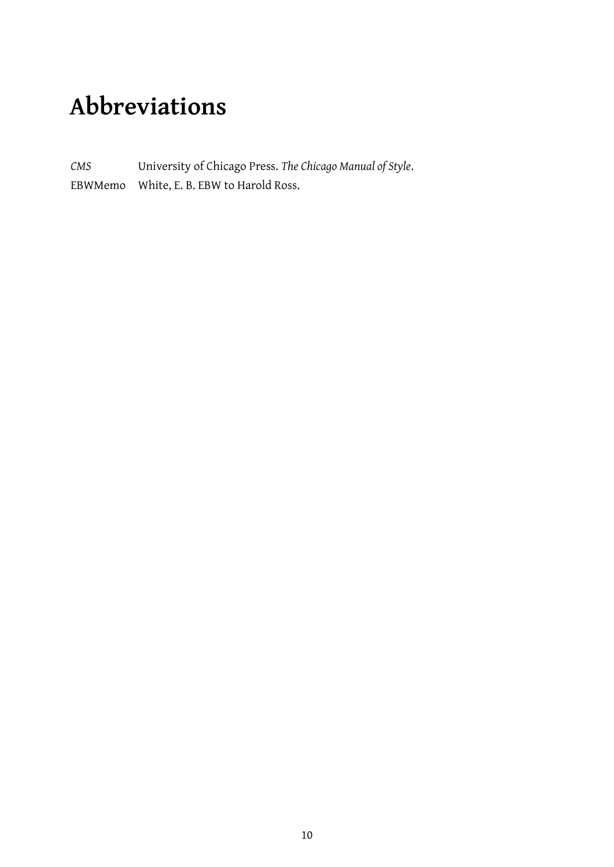## **Abbreviations**

*CMS* University of Chicago Press. *The Chicago Manual of Style*. EBWMemo White, E. B. EBW to Harold Ross.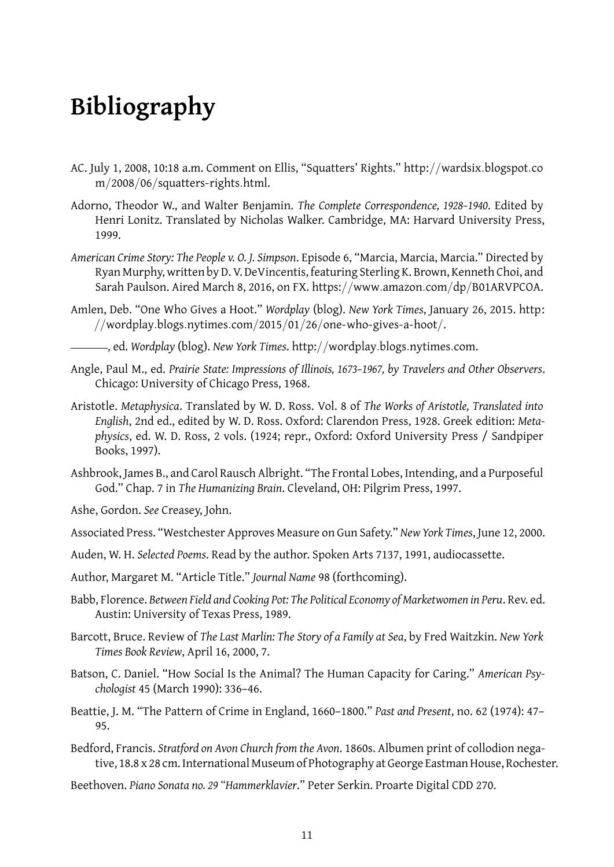## **Bibliography**

- AC. July 1, 2008, 10:18 a.m. Comment on Ellis, "Squatters' Rights." http://wardsix*.*blogspot*.*co m/2008/06/squatters-rights*.*html.
- Adorno, Theodor W., and Walter Benjamin. *The Complete Correspondence, 1928–1940*. Edited by Henri Lonitz. Translated by Nicholas Walker. Cambridge, MA: Harvard University Press, 1999.
- *American Crime Story: The People v. O. J. Simpson*. Episode 6, "Marcia, Marcia, Marcia." Directed by Ryan Murphy, written by D. V. DeVincentis, featuring Sterling K. Brown, Kenneth Choi, and Sarah Paulson. Aired March 8, 2016, on FX. https://www*.*amazon*.*com/dp/B01ARVPCOA.
- Amlen, Deb. "One Who Gives a Hoot." *Wordplay* (blog). *New York Times*, January 26, 2015. http: //wordplay*.*blogs*.*nytimes*.*com/2015/01/26/one-who-gives-a-hoot/.

, ed. *Wordplay* (blog). *New York Times*. http://wordplay*.*blogs*.*nytimes*.*com.

- Angle, Paul M., ed. *Prairie State: Impressions of Illinois, 1673–1967, by Travelers and Other Observers*. Chicago: University of Chicago Press, 1968.
- Aristotle. *Metaphysica*. Translated by W. D. Ross. Vol. 8 of *The Works of Aristotle, Translated into English*, 2nd ed., edited by W. D. Ross. Oxford: Clarendon Press, 1928. Greek edition: *Metaphysics*, ed. W. D. Ross, 2 vols. (1924; repr., Oxford: Oxford University Press / Sandpiper Books, 1997).
- Ashbrook, James B., and Carol Rausch Albright. "The Frontal Lobes, Intending, and a Purposeful God." Chap. 7 in *The Humanizing Brain*. Cleveland, OH: Pilgrim Press, 1997.

Ashe, Gordon. *See* Creasey, John.

- Associated Press. "Westchester Approves Measure on Gun Safety." *New York Times*, June 12, 2000.
- Auden, W. H. *Selected Poems*. Read by the author. Spoken Arts 7137, 1991, audiocassette.
- Author, Margaret M. "Article Title." *Journal Name* 98 (forthcoming).
- Babb, Florence. *Between Field and Cooking Pot: The Political Economy of Marketwomen in Peru*. Rev. ed. Austin: University of Texas Press, 1989.
- Barcott, Bruce. Review of *The Last Marlin: The Story of a Family at Sea*, by Fred Waitzkin. *New York Times Book Review*, April 16, 2000, 7.
- Batson, C. Daniel. "How Social Is the Animal? The Human Capacity for Caring." *American Psychologist* 45 (March 1990): 336–46.
- Beattie, J. M. "The Pattern of Crime in England, 1660–1800." *Past and Present*, no. 62 (1974): 47– 95.
- Bedford, Francis. *Stratford on Avon Church from the Avon*. 1860s. Albumen print of collodion negative, 18.8 x 28 cm.International Museum of Photography at George Eastman House, Rochester.
- Beethoven. *Piano Sonata no. 29 "Hammerklavier*." Peter Serkin. Proarte Digital CDD 270.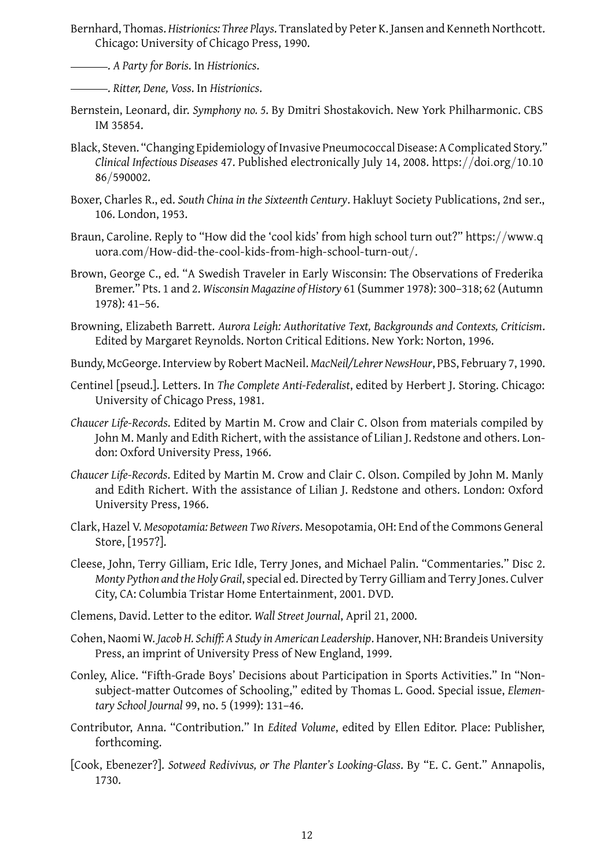- Bernhard, Thomas. *Histrionics: Three Plays*. Translated by Peter K. Jansen and Kenneth Northcott. Chicago: University of Chicago Press, 1990.
	- . *A Party for Boris*. In *Histrionics*.
	- . *Ritter, Dene, Voss*. In *Histrionics*.
- Bernstein, Leonard, dir. *Symphony no. 5*. By Dmitri Shostakovich. New York Philharmonic. CBS IM 35854.
- Black, Steven. "Changing Epidemiology of Invasive Pneumococcal Disease: A Complicated Story." *Clinical Infectious Diseases* 47. Published electronically July 14, 2008. https://doi*.*org/10*.*10 86/590002.
- Boxer, Charles R., ed. *South China in the Sixteenth Century*. Hakluyt Society Publications, 2nd ser., 106. London, 1953.
- Braun, Caroline. Reply to "How did the 'cool kids' from high school turn out?" https://www*.*q uora*.*com/How-did-the-cool-kids-from-high-school-turn-out/.
- Brown, George C., ed. "A Swedish Traveler in Early Wisconsin: The Observations of Frederika Bremer." Pts. 1 and 2. *Wisconsin Magazine of History* 61 (Summer 1978): 300–318; 62 (Autumn 1978): 41–56.
- Browning, Elizabeth Barrett. *Aurora Leigh: Authoritative Text, Backgrounds and Contexts, Criticism*. Edited by Margaret Reynolds. Norton Critical Editions. New York: Norton, 1996.
- Bundy, McGeorge. Interview by Robert MacNeil. *MacNeil/Lehrer NewsHour*, PBS, February 7, 1990.
- Centinel [pseud.]. Letters. In *The Complete Anti-Federalist*, edited by Herbert J. Storing. Chicago: University of Chicago Press, 1981.
- *Chaucer Life-Records*. Edited by Martin M. Crow and Clair C. Olson from materials compiled by John M. Manly and Edith Richert, with the assistance of Lilian J. Redstone and others. London: Oxford University Press, 1966.
- *Chaucer Life-Records*. Edited by Martin M. Crow and Clair C. Olson. Compiled by John M. Manly and Edith Richert. With the assistance of Lilian J. Redstone and others. London: Oxford University Press, 1966.
- Clark, Hazel V. *Mesopotamia: Between Two Rivers*. Mesopotamia, OH: End of the Commons General Store, [1957?].
- Cleese, John, Terry Gilliam, Eric Idle, Terry Jones, and Michael Palin. "Commentaries." Disc 2. *Monty Python and the Holy Grail*, special ed. Directed by Terry Gilliam and Terry Jones. Culver City, CA: Columbia Tristar Home Entertainment, 2001. DVD.
- Clemens, David. Letter to the editor. *Wall Street Journal*, April 21, 2000.
- Cohen, Naomi W. *Jacob H. Schiff: A Study in American Leadership*. Hanover, NH: Brandeis University Press, an imprint of University Press of New England, 1999.
- Conley, Alice. "Fifth-Grade Boys' Decisions about Participation in Sports Activities." In "Nonsubject-matter Outcomes of Schooling," edited by Thomas L. Good. Special issue, *Elementary School Journal* 99, no. 5 (1999): 131–46.
- Contributor, Anna. "Contribution." In *Edited Volume*, edited by Ellen Editor. Place: Publisher, forthcoming.
- [Cook, Ebenezer?]. *Sotweed Redivivus, or The Planter's Looking-Glass*. By "E. C. Gent." Annapolis, 1730.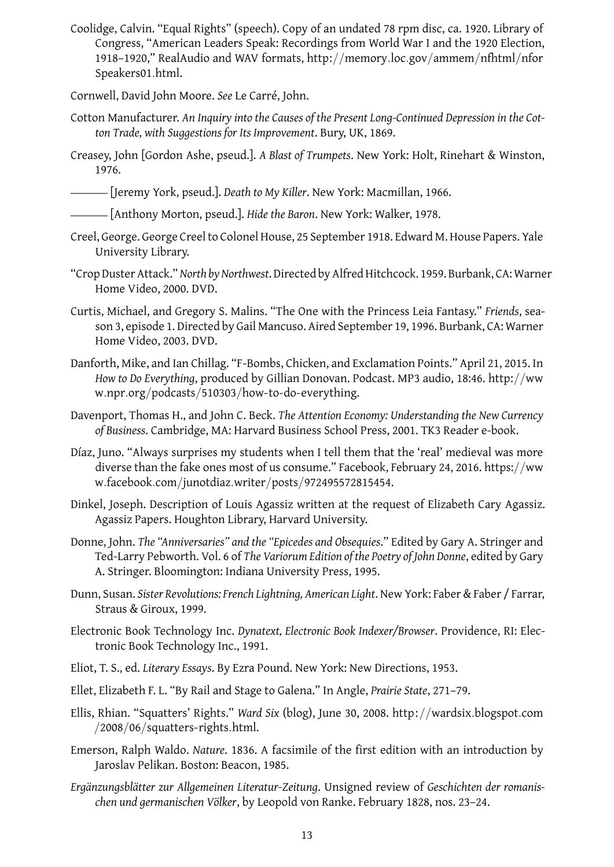- Coolidge, Calvin. "Equal Rights" (speech). Copy of an undated 78 rpm disc, ca. 1920. Library of Congress, "American Leaders Speak: Recordings from World War I and the 1920 Election, 1918–1920," RealAudio and WAV formats, http://memory*.*loc*.*gov/ammem/nfhtml/nfor Speakers01*.*html.
- Cornwell, David John Moore. *See* Le Carré, John.
- Cotton Manufacturer. *An Inquiry into the Causes of the Present Long-Continued Depression in the Cotton Trade, with Suggestions for Its Improvement*. Bury, UK, 1869.
- Creasey, John [Gordon Ashe, pseud.]. *A Blast of Trumpets*. New York: Holt, Rinehart & Winston, 1976.

[Jeremy York, pseud.]. *Death to My Killer*. New York: Macmillan, 1966.

[Anthony Morton, pseud.]. *Hide the Baron*. New York: Walker, 1978.

- Creel, George. George Creel to Colonel House, 25 September 1918. Edward M. House Papers. Yale University Library.
- "Crop Duster Attack."*North by Northwest*. Directed by Alfred Hitchcock. 1959. Burbank, CA: Warner Home Video, 2000. DVD.
- Curtis, Michael, and Gregory S. Malins. "The One with the Princess Leia Fantasy." *Friends*, season 3, episode 1. Directed by Gail Mancuso. Aired September 19, 1996. Burbank, CA: Warner Home Video, 2003. DVD.
- Danforth, Mike, and Ian Chillag. "F-Bombs, Chicken, and Exclamation Points." April 21, 2015. In *How to Do Everything*, produced by Gillian Donovan. Podcast. MP3 audio, 18:46. http://ww w*.*npr*.*org/podcasts/510303/how-to-do-everything.
- Davenport, Thomas H., and John C. Beck. *The Attention Economy: Understanding the New Currency of Business*. Cambridge, MA: Harvard Business School Press, 2001. TK3 Reader e-book.
- Díaz, Juno. "Always surprises my students when I tell them that the 'real' medieval was more diverse than the fake ones most of us consume." Facebook, February 24, 2016. https://ww w*.*facebook*.*com/junotdiaz*.*writer/posts/972495572815454.
- Dinkel, Joseph. Description of Louis Agassiz written at the request of Elizabeth Cary Agassiz. Agassiz Papers. Houghton Library, Harvard University.
- Donne, John. *The "Anniversaries" and the "Epicedes and Obsequies*." Edited by Gary A. Stringer and Ted-Larry Pebworth. Vol. 6 of *The Variorum Edition of the Poetry of John Donne*, edited by Gary A. Stringer. Bloomington: Indiana University Press, 1995.
- Dunn, Susan. *Sister Revolutions: French Lightning, American Light*. New York: Faber & Faber / Farrar, Straus & Giroux, 1999.
- Electronic Book Technology Inc. *Dynatext, Electronic Book Indexer/Browser*. Providence, RI: Electronic Book Technology Inc., 1991.
- Eliot, T. S., ed. *Literary Essays*. By Ezra Pound. New York: New Directions, 1953.
- Ellet, Elizabeth F. L. "By Rail and Stage to Galena." In Angle, *Prairie State*, 271–79.
- Ellis, Rhian. "Squatters' Rights." *Ward Six* (blog), June 30, 2008. http://wardsix*.*blogspot*.*com /2008/06/squatters-rights*.*html.
- Emerson, Ralph Waldo. *Nature*. 1836. A facsimile of the first edition with an introduction by Jaroslav Pelikan. Boston: Beacon, 1985.
- *Ergänzungsblätter zur Allgemeinen Literatur-Zeitung*. Unsigned review of *Geschichten der romanischen und germanischen Völker*, by Leopold von Ranke. February 1828, nos. 23–24.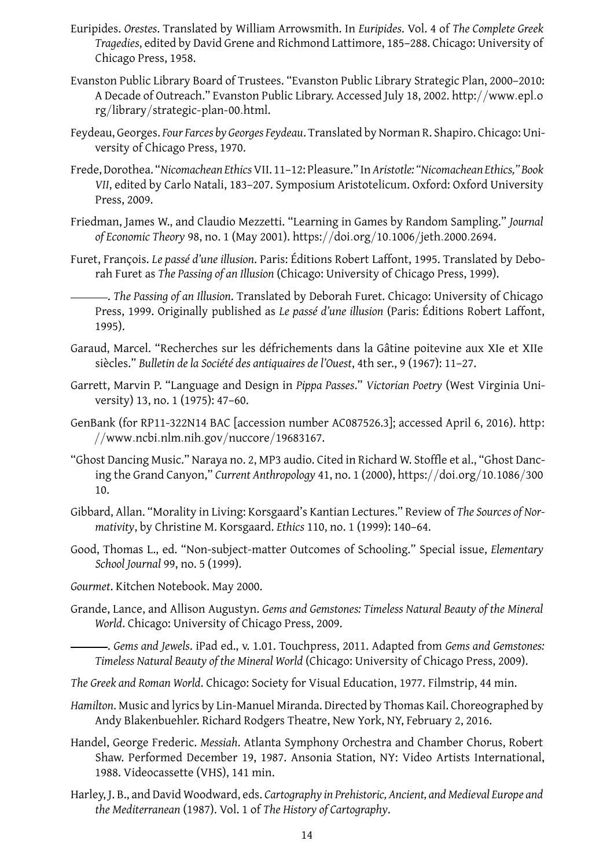- Euripides. *Orestes*. Translated by William Arrowsmith. In *Euripides*. Vol. 4 of *The Complete Greek Tragedies*, edited by David Grene and Richmond Lattimore, 185–288. Chicago: University of Chicago Press, 1958.
- Evanston Public Library Board of Trustees. "Evanston Public Library Strategic Plan, 2000–2010: A Decade of Outreach." Evanston Public Library. Accessed July 18, 2002. http://www*.*epl*.*o rg/library/strategic-plan-00*.*html.
- Feydeau, Georges. *Four Farces by Georges Feydeau*. Translated by Norman R. Shapiro. Chicago: University of Chicago Press, 1970.
- Frede, Dorothea. "*Nicomachean Ethics*VII. 11–12: Pleasure." In *Aristotle: "Nicomachean Ethics," Book VII*, edited by Carlo Natali, 183–207. Symposium Aristotelicum. Oxford: Oxford University Press, 2009.
- Friedman, James W., and Claudio Mezzetti. "Learning in Games by Random Sampling." *Journal of Economic Theory* 98, no. 1 (May 2001). https://doi*.*org/10*.*1006/jeth*.*2000*.*2694.
- Furet, François. *Le passé d'une illusion*. Paris: Éditions Robert Laffont, 1995. Translated by Deborah Furet as *The Passing of an Illusion* (Chicago: University of Chicago Press, 1999).
	- . *The Passing of an Illusion*. Translated by Deborah Furet. Chicago: University of Chicago Press, 1999. Originally published as *Le passé d'une illusion* (Paris: Éditions Robert Laffont, 1995).
- Garaud, Marcel. "Recherches sur les défrichements dans la Gâtine poitevine aux XIe et XIIe siècles." *Bulletin de la Société des antiquaires de l'Ouest*, 4th ser., 9 (1967): 11–27.
- Garrett, Marvin P. "Language and Design in *Pippa Passes*." *Victorian Poetry* (West Virginia University) 13, no. 1 (1975): 47–60.
- GenBank (for RP11-322N14 BAC [accession number AC087526.3]; accessed April 6, 2016). http: //www*.*ncbi*.*nlm*.*nih*.*gov/nuccore/19683167.
- "Ghost Dancing Music." Naraya no. 2, MP3 audio. Cited in Richard W. Stoffle et al., "Ghost Dancing the Grand Canyon," *Current Anthropology* 41, no. 1 (2000), https://doi*.*org/10*.*1086/300 10.
- Gibbard, Allan. "Morality in Living: Korsgaard's Kantian Lectures." Review of *The Sources of Normativity*, by Christine M. Korsgaard. *Ethics* 110, no. 1 (1999): 140–64.
- Good, Thomas L., ed. "Non-subject-matter Outcomes of Schooling." Special issue, *Elementary School Journal* 99, no. 5 (1999).
- *Gourmet*. Kitchen Notebook. May 2000.
- Grande, Lance, and Allison Augustyn. *Gems and Gemstones: Timeless Natural Beauty of the Mineral World*. Chicago: University of Chicago Press, 2009.
	- . *Gems and Jewels*. iPad ed., v. 1.01. Touchpress, 2011. Adapted from *Gems and Gemstones: Timeless Natural Beauty of the Mineral World* (Chicago: University of Chicago Press, 2009).
- *The Greek and Roman World*. Chicago: Society for Visual Education, 1977. Filmstrip, 44 min.
- *Hamilton*. Music and lyrics by Lin-Manuel Miranda. Directed by Thomas Kail. Choreographed by Andy Blakenbuehler. Richard Rodgers Theatre, New York, NY, February 2, 2016.
- Handel, George Frederic. *Messiah*. Atlanta Symphony Orchestra and Chamber Chorus, Robert Shaw. Performed December 19, 1987. Ansonia Station, NY: Video Artists International, 1988. Videocassette (VHS), 141 min.
- Harley, J. B., and David Woodward, eds. *Cartography in Prehistoric, Ancient, and Medieval Europe and the Mediterranean* (1987). Vol. 1 of *The History of Cartography*.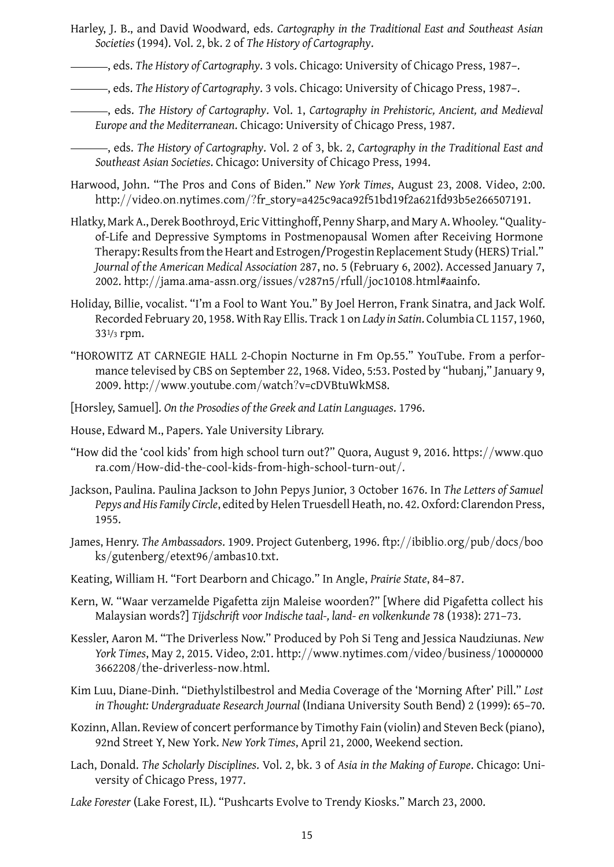- Harley, J. B., and David Woodward, eds. *Cartography in the Traditional East and Southeast Asian Societies* (1994). Vol. 2, bk. 2 of *The History of Cartography*.
- , eds. *The History of Cartography*. 3 vols. Chicago: University of Chicago Press, 1987–.
- , eds. *The History of Cartography*. 3 vols. Chicago: University of Chicago Press, 1987–.
	- , eds. *The History of Cartography*. Vol. 1, *Cartography in Prehistoric, Ancient, and Medieval Europe and the Mediterranean*. Chicago: University of Chicago Press, 1987.
	- , eds. *The History of Cartography*. Vol. 2 of 3, bk. 2, *Cartography in the Traditional East and Southeast Asian Societies*. Chicago: University of Chicago Press, 1994.
- Harwood, John. "The Pros and Cons of Biden." *New York Times*, August 23, 2008. Video, 2:00. http://video*.*on*.*nytimes*.*com/?fr\_story=a425c9aca92f51bd19f2a621fd93b5e266507191.
- Hlatky, Mark A., Derek Boothroyd, Eric Vittinghoff, Penny Sharp, and Mary A. Whooley. "Qualityof-Life and Depressive Symptoms in Postmenopausal Women after Receiving Hormone Therapy: Results from the Heart and Estrogen/Progestin Replacement Study (HERS) Trial." *Journal of the American Medical Association* 287, no. 5 (February 6, 2002). Accessed January 7, 2002. http://jama*.*ama-assn*.*org/issues/v287n5/rfull/joc10108*.*html#aainfo.
- Holiday, Billie, vocalist. "I'm a Fool to Want You." By Joel Herron, Frank Sinatra, and Jack Wolf. Recorded February 20, 1958. With Ray Ellis. Track 1 on *Lady in Satin*. Columbia CL 1157, 1960, 331/3 rpm.
- "HOROWITZ AT CARNEGIE HALL 2-Chopin Nocturne in Fm Op.55." YouTube. From a performance televised by CBS on September 22, 1968. Video, 5:53. Posted by "hubanj," January 9, 2009. http://www*.*youtube*.*com/watch?v=cDVBtuWkMS8.
- [Horsley, Samuel]. *On the Prosodies of the Greek and Latin Languages*. 1796.
- House, Edward M., Papers. Yale University Library.
- "How did the 'cool kids' from high school turn out?" Quora, August 9, 2016. https://www*.*quo ra*.*com/How-did-the-cool-kids-from-high-school-turn-out/.
- Jackson, Paulina. Paulina Jackson to John Pepys Junior, 3 October 1676. In *The Letters of Samuel Pepys and His Family Circle*, edited by Helen Truesdell Heath, no. 42. Oxford: Clarendon Press, 1955.
- James, Henry. *The Ambassadors*. 1909. Project Gutenberg, 1996. ftp://ibiblio*.*org/pub/docs/boo ks/gutenberg/etext96/ambas10*.*txt.
- Keating, William H. "Fort Dearborn and Chicago." In Angle, *Prairie State*, 84–87.
- Kern, W. "Waar verzamelde Pigafetta zijn Maleise woorden?" [Where did Pigafetta collect his Malaysian words?] *Tijdschrift voor Indische taal-, land- en volkenkunde* 78 (1938): 271–73.
- Kessler, Aaron M. "The Driverless Now." Produced by Poh Si Teng and Jessica Naudziunas. *New York Times*, May 2, 2015. Video, 2:01. http://www*.*nytimes*.*com/video/business/10000000 3662208/the-driverless-now*.*html.
- Kim Luu, Diane-Dinh. "Diethylstilbestrol and Media Coverage of the 'Morning After' Pill." *Lost in Thought: Undergraduate Research Journal* (Indiana University South Bend) 2 (1999): 65–70.
- Kozinn, Allan. Review of concert performance by Timothy Fain (violin) and Steven Beck (piano), 92nd Street Y, New York. *New York Times*, April 21, 2000, Weekend section.
- Lach, Donald. *The Scholarly Disciplines*. Vol. 2, bk. 3 of *Asia in the Making of Europe*. Chicago: University of Chicago Press, 1977.
- *Lake Forester* (Lake Forest, IL). "Pushcarts Evolve to Trendy Kiosks." March 23, 2000.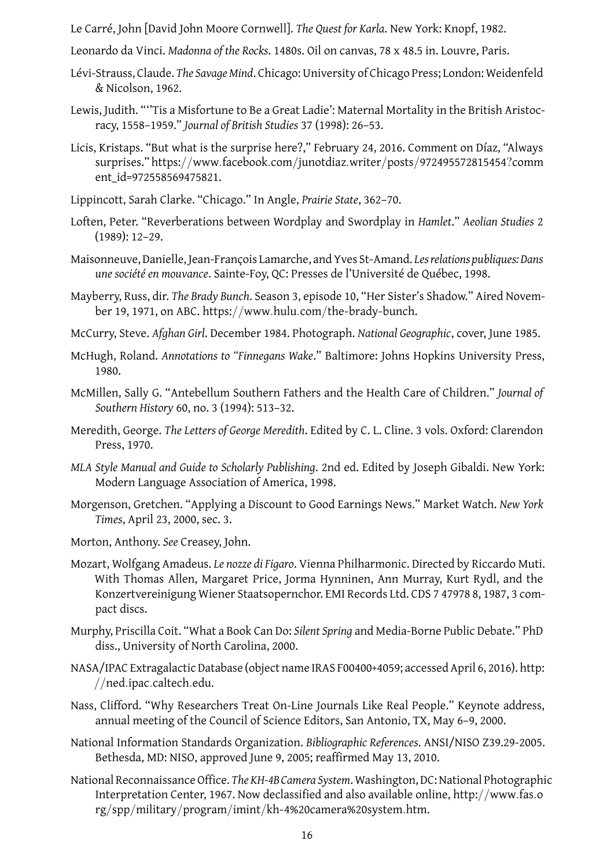Le Carré, John [David John Moore Cornwell]. *The Quest for Karla*. New York: Knopf, 1982.

- Leonardo da Vinci. *Madonna of the Rocks*. 1480s. Oil on canvas, 78 x 48.5 in. Louvre, Paris.
- Lévi-Strauss, Claude. *The Savage Mind*. Chicago: University of Chicago Press; London: Weidenfeld & Nicolson, 1962.
- Lewis, Judith. "''Tis a Misfortune to Be a Great Ladie': Maternal Mortality in the British Aristocracy, 1558–1959." *Journal of British Studies* 37 (1998): 26–53.
- Licis, Kristaps. "But what is the surprise here?," February 24, 2016. Comment on Díaz, "Always surprises." https://www*.*facebook*.*com/junotdiaz*.*writer/posts/972495572815454?comm ent\_id=972558569475821.
- Lippincott, Sarah Clarke. "Chicago." In Angle, *Prairie State*, 362–70.
- Loften, Peter. "Reverberations between Wordplay and Swordplay in *Hamlet*." *Aeolian Studies* 2 (1989): 12–29.
- Maisonneuve, Danielle, Jean-François Lamarche, and Yves St-Amand. *Les relations publiques: Dans une société en mouvance*. Sainte-Foy, QC: Presses de l'Université de Québec, 1998.
- Mayberry, Russ, dir. *The Brady Bunch*. Season 3, episode 10, "Her Sister's Shadow." Aired November 19, 1971, on ABC. https://www*.*hulu*.*com/the-brady-bunch.
- McCurry, Steve. *Afghan Girl*. December 1984. Photograph. *National Geographic*, cover, June 1985.
- McHugh, Roland. *Annotations to "Finnegans Wake*." Baltimore: Johns Hopkins University Press, 1980.
- McMillen, Sally G. "Antebellum Southern Fathers and the Health Care of Children." *Journal of Southern History* 60, no. 3 (1994): 513–32.
- Meredith, George. *The Letters of George Meredith*. Edited by C. L. Cline. 3 vols. Oxford: Clarendon Press, 1970.
- *MLA Style Manual and Guide to Scholarly Publishing*. 2nd ed. Edited by Joseph Gibaldi. New York: Modern Language Association of America, 1998.
- Morgenson, Gretchen. "Applying a Discount to Good Earnings News." Market Watch. *New York Times*, April 23, 2000, sec. 3.
- Morton, Anthony. *See* Creasey, John.
- Mozart, Wolfgang Amadeus. *Le nozze di Figaro*. Vienna Philharmonic. Directed by Riccardo Muti. With Thomas Allen, Margaret Price, Jorma Hynninen, Ann Murray, Kurt Rydl, and the Konzertvereinigung Wiener Staatsopernchor. EMI Records Ltd. CDS 7 47978 8, 1987, 3 compact discs.
- Murphy, Priscilla Coit. "What a Book Can Do: *Silent Spring* and Media-Borne Public Debate." PhD diss., University of North Carolina, 2000.
- NASA/IPAC Extragalactic Database (object name IRAS F00400+4059; accessed April 6, 2016). http: //ned*.*ipac*.*caltech*.*edu.
- Nass, Clifford. "Why Researchers Treat On-Line Journals Like Real People." Keynote address, annual meeting of the Council of Science Editors, San Antonio, TX, May 6–9, 2000.
- National Information Standards Organization. *Bibliographic References*. ANSI/NISO Z39.29-2005. Bethesda, MD: NISO, approved June 9, 2005; reaffirmed May 13, 2010.
- National Reconnaissance Office. *The KH-4B Camera System*. Washington, DC: National Photographic Interpretation Center, 1967. Now declassified and also available online, http://www*.*fas*.*o rg/spp/military/program/imint/kh-4%20camera%20system*.*htm.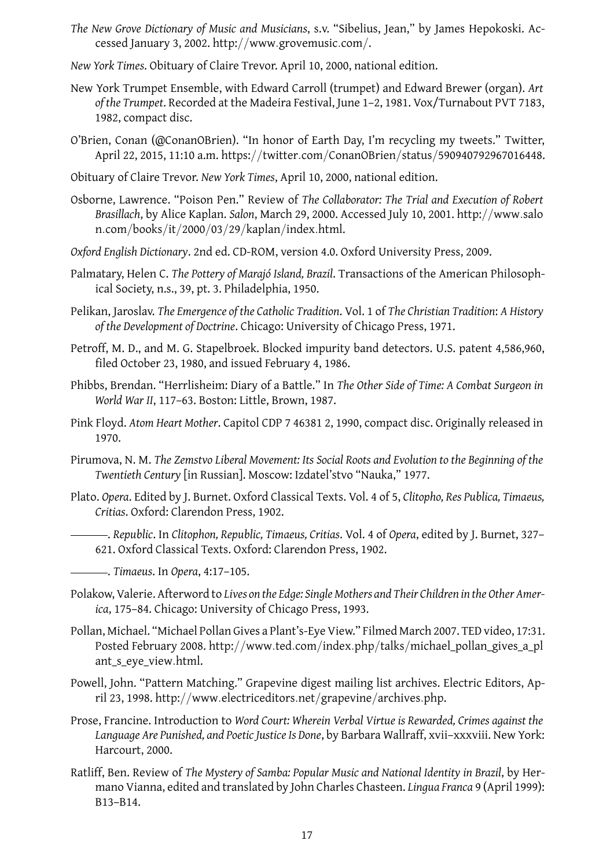- *The New Grove Dictionary of Music and Musicians*, s.v. "Sibelius, Jean," by James Hepokoski. Accessed January 3, 2002. http://www*.*grovemusic*.*com/.
- *New York Times*. Obituary of Claire Trevor. April 10, 2000, national edition.
- New York Trumpet Ensemble, with Edward Carroll (trumpet) and Edward Brewer (organ). *Art of the Trumpet*. Recorded at the Madeira Festival, June 1–2, 1981. Vox/Turnabout PVT 7183, 1982, compact disc.
- O'Brien, Conan (@ConanOBrien). "In honor of Earth Day, I'm recycling my tweets." Twitter, April 22, 2015, 11:10 a.m. https://twitter*.*com/ConanOBrien/status/590940792967016448.
- Obituary of Claire Trevor. *New York Times*, April 10, 2000, national edition.
- Osborne, Lawrence. "Poison Pen." Review of *The Collaborator: The Trial and Execution of Robert Brasillach*, by Alice Kaplan. *Salon*, March 29, 2000. Accessed July 10, 2001. http://www*.*salo n*.*com/books/it/2000/03/29/kaplan/index*.*html.
- *Oxford English Dictionary*. 2nd ed. CD-ROM, version 4.0. Oxford University Press, 2009.
- Palmatary, Helen C. *The Pottery of Marajó Island, Brazil*. Transactions of the American Philosophical Society, n.s., 39, pt. 3. Philadelphia, 1950.
- Pelikan, Jaroslav. *The Emergence of the Catholic Tradition*. Vol. 1 of *The Christian Tradition*: *A History of the Development of Doctrine*. Chicago: University of Chicago Press, 1971.
- Petroff, M. D., and M. G. Stapelbroek. Blocked impurity band detectors. U.S. patent 4,586,960, filed October 23, 1980, and issued February 4, 1986.
- Phibbs, Brendan. "Herrlisheim: Diary of a Battle." In *The Other Side of Time: A Combat Surgeon in World War II*, 117–63. Boston: Little, Brown, 1987.
- Pink Floyd. *Atom Heart Mother*. Capitol CDP 7 46381 2, 1990, compact disc. Originally released in 1970.
- Pirumova, N. M. *The Zemstvo Liberal Movement: Its Social Roots and Evolution to the Beginning of the Twentieth Century* [in Russian]. Moscow: Izdatel'stvo "Nauka," 1977.
- Plato. *Opera*. Edited by J. Burnet. Oxford Classical Texts. Vol. 4 of 5, *Clitopho, Res Publica, Timaeus, Critias*. Oxford: Clarendon Press, 1902.
	- . *Republic*. In *Clitophon, Republic, Timaeus, Critias*. Vol. 4 of *Opera*, edited by J. Burnet, 327– 621. Oxford Classical Texts. Oxford: Clarendon Press, 1902.
- . *Timaeus*. In *Opera*, 4:17–105.
- Polakow, Valerie. Afterword to *Lives on the Edge: Single Mothers and Their Children in the Other America*, 175–84. Chicago: University of Chicago Press, 1993.
- Pollan, Michael. "Michael Pollan Gives a Plant's-Eye View." Filmed March 2007. TED video, 17:31. Posted February 2008. http://www*.*ted*.*com/index*.*php/talks/michael\_pollan\_gives\_a\_pl ant\_s\_eye\_view*.*html.
- Powell, John. "Pattern Matching." Grapevine digest mailing list archives. Electric Editors, April 23, 1998. http://www*.*electriceditors*.*net/grapevine/archives*.*php.
- Prose, Francine. Introduction to *Word Court: Wherein Verbal Virtue is Rewarded, Crimes against the Language Are Punished, and Poetic Justice Is Done*, by Barbara Wallraff, xvii–xxxviii. New York: Harcourt, 2000.
- Ratliff, Ben. Review of *The Mystery of Samba: Popular Music and National Identity in Brazil*, by Hermano Vianna, edited and translated by John Charles Chasteen. *Lingua Franca* 9 (April 1999): B13–B14.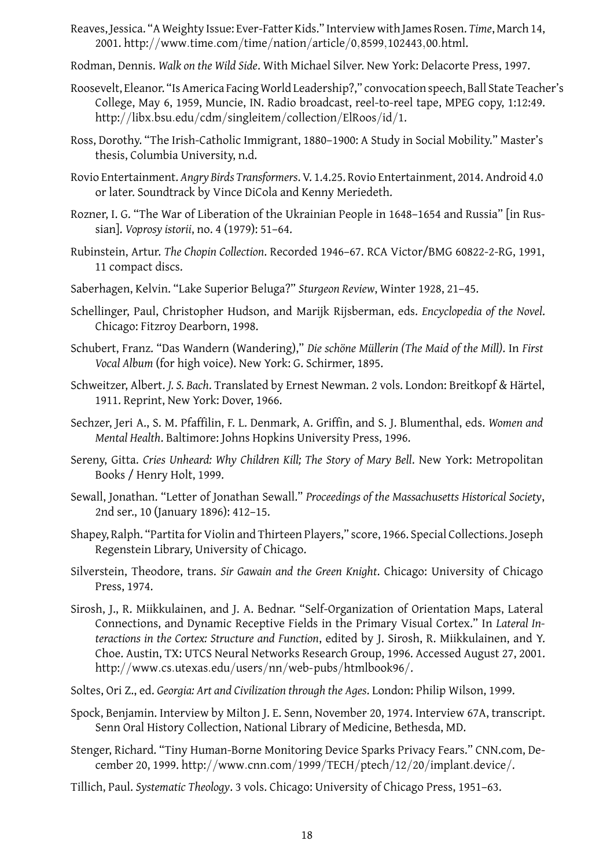- Reaves, Jessica. "A Weighty Issue: Ever-Fatter Kids." Interview with James Rosen. *Time*, March 14, 2001. http://www*.*time*.*com/time/nation/article/0*,*8599*,*102443*,*00*.*html.
- Rodman, Dennis. *Walk on the Wild Side*. With Michael Silver. New York: Delacorte Press, 1997.
- Roosevelt, Eleanor. "Is America Facing World Leadership?," convocation speech, Ball State Teacher's College, May 6, 1959, Muncie, IN. Radio broadcast, reel-to-reel tape, MPEG copy, 1:12:49. http://libx*.*bsu*.*edu/cdm/singleitem/collection/ElRoos/id/1.
- Ross, Dorothy. "The Irish-Catholic Immigrant, 1880–1900: A Study in Social Mobility." Master's thesis, Columbia University, n.d.
- Rovio Entertainment. *Angry Birds Transformers*. V. 1.4.25. Rovio Entertainment, 2014. Android 4.0 or later. Soundtrack by Vince DiCola and Kenny Meriedeth.
- Rozner, I. G. "The War of Liberation of the Ukrainian People in 1648–1654 and Russia" [in Russian]. *Voprosy istorii*, no. 4 (1979): 51–64.
- Rubinstein, Artur. *The Chopin Collection*. Recorded 1946–67. RCA Victor/BMG 60822-2-RG, 1991, 11 compact discs.
- Saberhagen, Kelvin. "Lake Superior Beluga?" *Sturgeon Review*, Winter 1928, 21–45.
- Schellinger, Paul, Christopher Hudson, and Marijk Rijsberman, eds. *Encyclopedia of the Novel*. Chicago: Fitzroy Dearborn, 1998.
- Schubert, Franz. "Das Wandern (Wandering)," *Die schöne Müllerin (The Maid of the Mill)*. In *First Vocal Album* (for high voice). New York: G. Schirmer, 1895.
- Schweitzer, Albert. *J. S. Bach*. Translated by Ernest Newman. 2 vols. London: Breitkopf & Härtel, 1911. Reprint, New York: Dover, 1966.
- Sechzer, Jeri A., S. M. Pfaffilin, F. L. Denmark, A. Griffin, and S. J. Blumenthal, eds. *Women and Mental Health*. Baltimore: Johns Hopkins University Press, 1996.
- Sereny, Gitta. *Cries Unheard: Why Children Kill; The Story of Mary Bell*. New York: Metropolitan Books / Henry Holt, 1999.
- Sewall, Jonathan. "Letter of Jonathan Sewall." *Proceedings of the Massachusetts Historical Society*, 2nd ser., 10 (January 1896): 412–15.
- Shapey, Ralph. "Partita for Violin and Thirteen Players," score, 1966. Special Collections. Joseph Regenstein Library, University of Chicago.
- Silverstein, Theodore, trans. *Sir Gawain and the Green Knight*. Chicago: University of Chicago Press, 1974.
- Sirosh, J., R. Miikkulainen, and J. A. Bednar. "Self-Organization of Orientation Maps, Lateral Connections, and Dynamic Receptive Fields in the Primary Visual Cortex." In *Lateral Interactions in the Cortex: Structure and Function*, edited by J. Sirosh, R. Miikkulainen, and Y. Choe. Austin, TX: UTCS Neural Networks Research Group, 1996. Accessed August 27, 2001. http://www*.*cs*.*utexas*.*edu/users/nn/web-pubs/htmlbook96/.
- Soltes, Ori Z., ed. *Georgia: Art and Civilization through the Ages*. London: Philip Wilson, 1999.
- Spock, Benjamin. Interview by Milton J. E. Senn, November 20, 1974. Interview 67A, transcript. Senn Oral History Collection, National Library of Medicine, Bethesda, MD.
- Stenger, Richard. "Tiny Human-Borne Monitoring Device Sparks Privacy Fears." CNN.com, December 20, 1999. http://www*.*cnn*.*com/1999/TECH/ptech/12/20/implant*.*device/.
- Tillich, Paul. *Systematic Theology*. 3 vols. Chicago: University of Chicago Press, 1951–63.